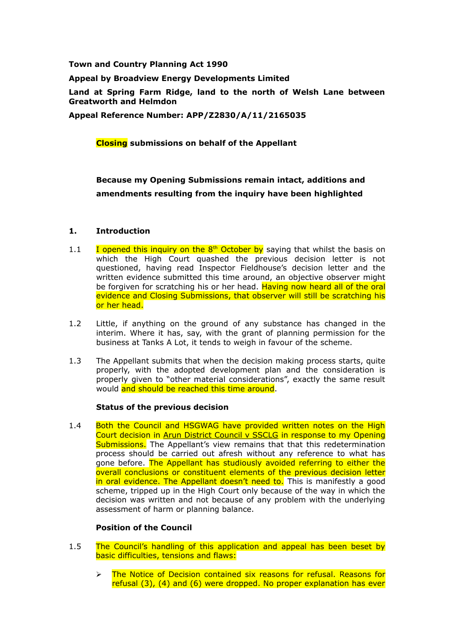**Town and Country Planning Act 1990**

**Appeal by Broadview Energy Developments Limited** 

**Land at Spring Farm Ridge, land to the north of Welsh Lane between Greatworth and Helmdon**

**Appeal Reference Number: APP/Z2830/A/11/2165035**

### **Closing submissions on behalf of the Appellant**

# **Because my Opening Submissions remain intact, additions and amendments resulting from the inquiry have been highlighted**

# **1. Introduction**

- 1.1 I opened this inquiry on the  $8<sup>th</sup>$  October by saying that whilst the basis on which the High Court quashed the previous decision letter is not questioned, having read Inspector Fieldhouse's decision letter and the written evidence submitted this time around, an objective observer might be forgiven for scratching his or her head. Having now heard all of the oral evidence and Closing Submissions, that observer will still be scratching his or her head.
- 1.2 Little, if anything on the ground of any substance has changed in the interim. Where it has, say, with the grant of planning permission for the business at Tanks A Lot, it tends to weigh in favour of the scheme.
- 1.3 The Appellant submits that when the decision making process starts, quite properly, with the adopted development plan and the consideration is properly given to "other material considerations", exactly the same result would and should be reached this time around.

#### **Status of the previous decision**

1.4 Both the Council and HSGWAG have provided written notes on the High Court decision in Arun District Council v SSCLG in response to my Opening Submissions. The Appellant's view remains that that this redetermination process should be carried out afresh without any reference to what has gone before. The Appellant has studiously avoided referring to either the overall conclusions or constituent elements of the previous decision letter in oral evidence. The Appellant doesn't need to. This is manifestly a good scheme, tripped up in the High Court only because of the way in which the decision was written and not because of any problem with the underlying assessment of harm or planning balance.

# **Position of the Council**

- 1.5 The Council's handling of this application and appeal has been beset by basic difficulties, tensions and flaws:
	- $\geq$  The Notice of Decision contained six reasons for refusal. Reasons for refusal (3), (4) and (6) were dropped. No proper explanation has ever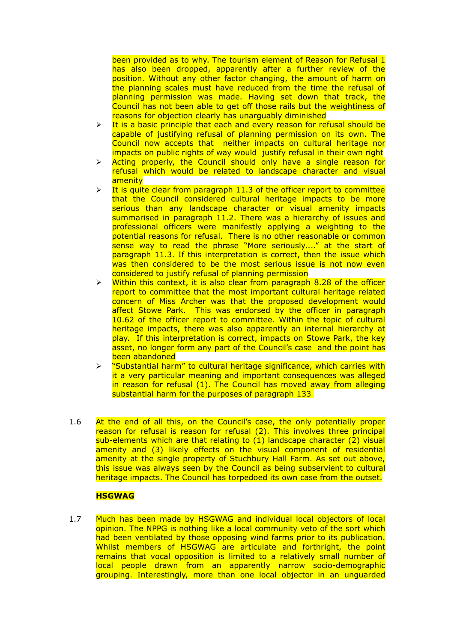been provided as to why. The tourism element of Reason for Refusal 1 has also been dropped, apparently after a further review of the position. Without any other factor changing, the amount of harm on the planning scales must have reduced from the time the refusal of planning permission was made. Having set down that track, the Council has not been able to get off those rails but the weightiness of reasons for objection clearly has unarguably diminished

- $\triangleright$  It is a basic principle that each and every reason for refusal should be capable of justifying refusal of planning permission on its own. The Council now accepts that neither impacts on cultural heritage nor impacts on public rights of way would justify refusal in their own right
- $\triangleright$  Acting properly, the Council should only have a single reason for refusal which would be related to landscape character and visual amenity
- $\triangleright$  It is quite clear from paragraph 11.3 of the officer report to committee that the Council considered cultural heritage impacts to be more serious than any landscape character or visual amenity impacts summarised in paragraph 11.2. There was a hierarchy of issues and professional officers were manifestly applying a weighting to the potential reasons for refusal. There is no other reasonable or common sense way to read the phrase "More seriously...." at the start of paragraph 11.3. If this interpretation is correct, then the issue which was then considered to be the most serious issue is not now even considered to justify refusal of planning permission
- $\triangleright$  Within this context, it is also clear from paragraph 8.28 of the officer report to committee that the most important cultural heritage related concern of Miss Archer was that the proposed development would affect Stowe Park. This was endorsed by the officer in paragraph 10.62 of the officer report to committee. Within the topic of cultural heritage impacts, there was also apparently an internal hierarchy at play. If this interpretation is correct, impacts on Stowe Park, the key asset, no longer form any part of the Council's case and the point has been abandoned
- $\triangleright$  "Substantial harm" to cultural heritage significance, which carries with it a very particular meaning and important consequences was alleged in reason for refusal (1). The Council has moved away from alleging substantial harm for the purposes of paragraph 133
- 1.6 At the end of all this, on the Council's case, the only potentially proper reason for refusal is reason for refusal (2). This involves three principal sub-elements which are that relating to  $(1)$  landscape character  $(2)$  visual amenity and (3) likely effects on the visual component of residential amenity at the single property of Stuchbury Hall Farm. As set out above, this issue was always seen by the Council as being subservient to cultural heritage impacts. The Council has torpedoed its own case from the outset.

### **HSGWAG**

1.7 Much has been made by HSGWAG and individual local objectors of local opinion. The NPPG is nothing like a local community veto of the sort which had been ventilated by those opposing wind farms prior to its publication. Whilst members of HSGWAG are articulate and forthright, the point remains that vocal opposition is limited to a relatively small number of local people drawn from an apparently narrow socio-demographic grouping. Interestingly, more than one local objector in an unguarded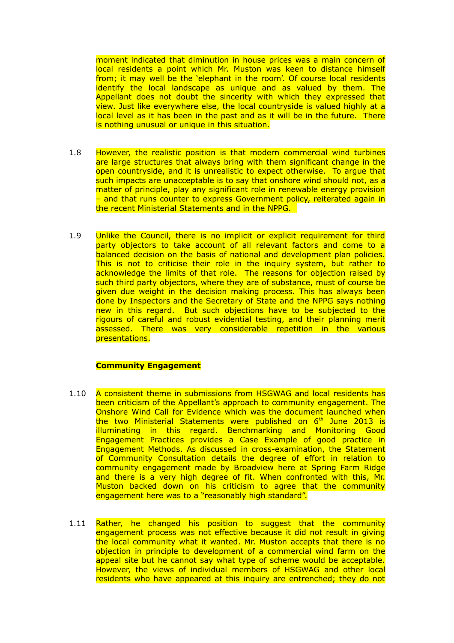moment indicated that diminution in house prices was a main concern of local residents a point which Mr. Muston was keen to distance himself from; it may well be the 'elephant in the room'. Of course local residents identify the local landscape as unique and as valued by them. The Appellant does not doubt the sincerity with which they expressed that view. Just like everywhere else, the local countryside is valued highly at a local level as it has been in the past and as it will be in the future. There is nothing unusual or unique in this situation.

- 1.8 However, the realistic position is that modern commercial wind turbines are large structures that always bring with them significant change in the open countryside, and it is unrealistic to expect otherwise. To argue that such impacts are unacceptable is to say that onshore wind should not, as a matter of principle, play any significant role in renewable energy provision – and that runs counter to express Government policy, reiterated again in the recent Ministerial Statements and in the NPPG.
- 1.9 Unlike the Council, there is no implicit or explicit requirement for third party objectors to take account of all relevant factors and come to a balanced decision on the basis of national and development plan policies. This is not to criticise their role in the inquiry system, but rather to acknowledge the limits of that role. The reasons for objection raised by such third party objectors, where they are of substance, must of course be given due weight in the decision making process. This has always been done by Inspectors and the Secretary of State and the NPPG says nothing new in this regard. But such objections have to be subjected to the rigours of careful and robust evidential testing, and their planning merit assessed. There was very considerable repetition in the various presentations.

### **Community Engagement**

- 1.10 A consistent theme in submissions from HSGWAG and local residents has been criticism of the Appellant's approach to community engagement. The Onshore Wind Call for Evidence which was the document launched when the two Ministerial Statements were published on  $6<sup>th</sup>$  June 2013 is illuminating in this regard. Benchmarking and Monitoring Good Engagement Practices provides a Case Example of good practice in Engagement Methods. As discussed in cross-examination, the Statement of Community Consultation details the degree of effort in relation to community engagement made by Broadview here at Spring Farm Ridge and there is a very high degree of fit. When confronted with this, Mr. Muston backed down on his criticism to agree that the community engagement here was to a "reasonably high standard".
- 1.11 Rather, he changed his position to suggest that the community engagement process was not effective because it did not result in giving the local community what it wanted. Mr. Muston accepts that there is no objection in principle to development of a commercial wind farm on the appeal site but he cannot say what type of scheme would be acceptable. However, the views of individual members of HSGWAG and other local residents who have appeared at this inquiry are entrenched; they do not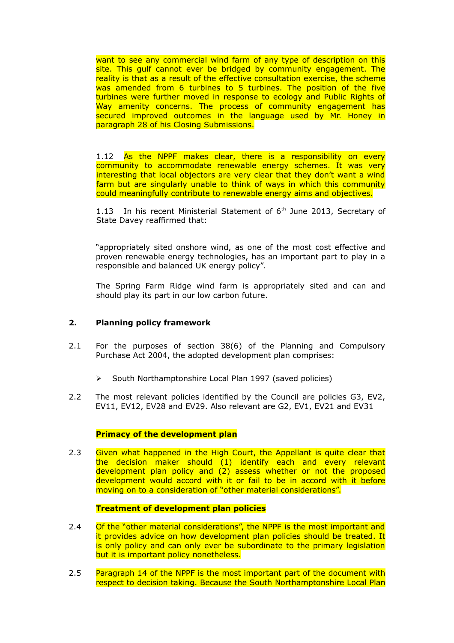want to see any commercial wind farm of any type of description on this site. This gulf cannot ever be bridged by community engagement. The reality is that as a result of the effective consultation exercise, the scheme was amended from 6 turbines to 5 turbines. The position of the five turbines were further moved in response to ecology and Public Rights of Way amenity concerns. The process of community engagement has secured improved outcomes in the language used by Mr. Honey in paragraph 28 of his Closing Submissions.

1.12 As the NPPF makes clear, there is a responsibility on every community to accommodate renewable energy schemes. It was very interesting that local objectors are very clear that they don't want a wind farm but are singularly unable to think of ways in which this community could meaningfully contribute to renewable energy aims and objectives.

1.13 In his recent Ministerial Statement of  $6<sup>th</sup>$  June 2013, Secretary of State Davey reaffirmed that:

"appropriately sited onshore wind, as one of the most cost effective and proven renewable energy technologies, has an important part to play in a responsible and balanced UK energy policy".

The Spring Farm Ridge wind farm is appropriately sited and can and should play its part in our low carbon future.

# **2. Planning policy framework**

- 2.1 For the purposes of section 38(6) of the Planning and Compulsory Purchase Act 2004, the adopted development plan comprises:
	- South Northamptonshire Local Plan 1997 (saved policies)
- 2.2 The most relevant policies identified by the Council are policies G3, EV2, EV11, EV12, EV28 and EV29. Also relevant are G2, EV1, EV21 and EV31

### **Primacy of the development plan**

2.3 Given what happened in the High Court, the Appellant is quite clear that the decision maker should (1) identify each and every relevant development plan policy and (2) assess whether or not the proposed development would accord with it or fail to be in accord with it before moving on to a consideration of "other material considerations".

### **Treatment of development plan policies**

- 2.4 Of the "other material considerations", the NPPF is the most important and it provides advice on how development plan policies should be treated. It is only policy and can only ever be subordinate to the primary legislation but it is important policy nonetheless.
- 2.5 Paragraph 14 of the NPPF is the most important part of the document with respect to decision taking. Because the South Northamptonshire Local Plan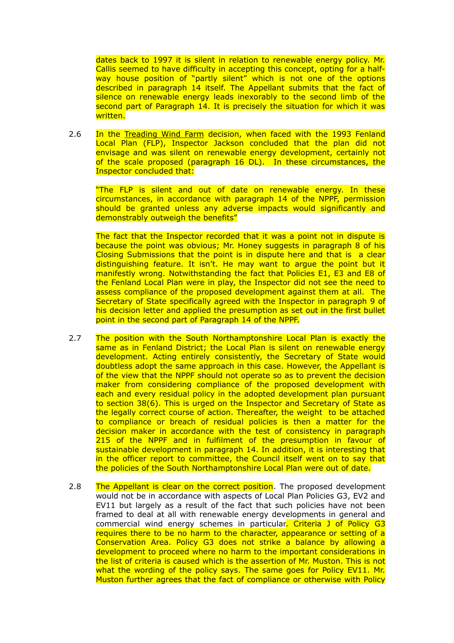dates back to 1997 it is silent in relation to renewable energy policy. Mr. Callis seemed to have difficulty in accepting this concept, opting for a halfway house position of "partly silent" which is not one of the options described in paragraph 14 itself. The Appellant submits that the fact of silence on renewable energy leads inexorably to the second limb of the second part of Paragraph 14. It is precisely the situation for which it was written.

2.6 In the Treading Wind Farm decision, when faced with the 1993 Fenland Local Plan (FLP), Inspector Jackson concluded that the plan did not envisage and was silent on renewable energy development, certainly not of the scale proposed (paragraph 16 DL). In these circumstances, the Inspector concluded that:

"The FLP is silent and out of date on renewable energy. In these circumstances, in accordance with paragraph 14 of the NPPF, permission should be granted unless any adverse impacts would significantly and demonstrably outweigh the benefits"

The fact that the Inspector recorded that it was a point not in dispute is because the point was obvious; Mr. Honey suggests in paragraph 8 of his Closing Submissions that the point is in dispute here and that is a clear distinguishing feature. It isn't. He may want to argue the point but it manifestly wrong. Notwithstanding the fact that Policies E1, E3 and E8 of the Fenland Local Plan were in play, the Inspector did not see the need to assess compliance of the proposed development against them at all. The Secretary of State specifically agreed with the Inspector in paragraph 9 of his decision letter and applied the presumption as set out in the first bullet point in the second part of Paragraph 14 of the NPPF.

- 2.7 The position with the South Northamptonshire Local Plan is exactly the same as in Fenland District; the Local Plan is silent on renewable energy development. Acting entirely consistently, the Secretary of State would doubtless adopt the same approach in this case. However, the Appellant is of the view that the NPPF should not operate so as to prevent the decision maker from considering compliance of the proposed development with each and every residual policy in the adopted development plan pursuant to section 38(6). This is urged on the Inspector and Secretary of State as the legally correct course of action. Thereafter, the weight to be attached to compliance or breach of residual policies is then a matter for the decision maker in accordance with the test of consistency in paragraph 215 of the NPPF and in fulfilment of the presumption in favour of sustainable development in paragraph 14. In addition, it is interesting that in the officer report to committee, the Council itself went on to say that the policies of the South Northamptonshire Local Plan were out of date.
- 2.8 The Appellant is clear on the correct position. The proposed development would not be in accordance with aspects of Local Plan Policies G3, EV2 and EV11 but largely as a result of the fact that such policies have not been framed to deal at all with renewable energy developments in general and commercial wind energy schemes in particular. Criteria J of Policy G3 requires there to be no harm to the character, appearance or setting of a Conservation Area. Policy G3 does not strike a balance by allowing a development to proceed where no harm to the important considerations in the list of criteria is caused which is the assertion of Mr. Muston. This is not what the wording of the policy says. The same goes for Policy EV11. Mr. Muston further agrees that the fact of compliance or otherwise with Policy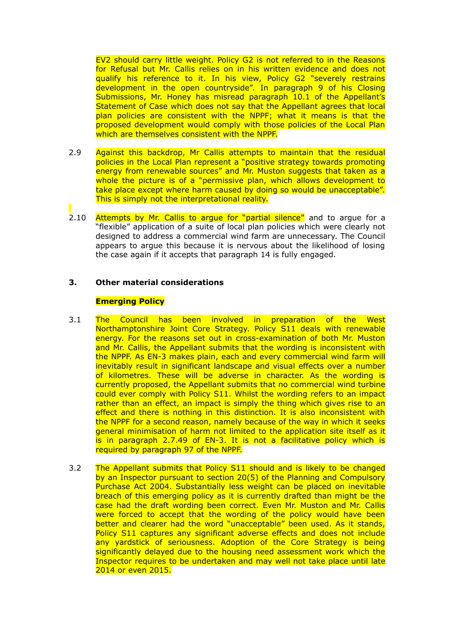EV2 should carry little weight. Policy G2 is not referred to in the Reasons for Refusal but Mr. Callis relies on in his written evidence and does not qualify his reference to it. In his view, Policy G2 "severely restrains development in the open countryside". In paragraph 9 of his Closing Submissions, Mr. Honey has misread paragraph 10.1 of the Appellant's Statement of Case which does not say that the Appellant agrees that local plan policies are consistent with the NPPF; what it means is that the proposed development would comply with those policies of the Local Plan which are themselves consistent with the NPPF.

- 2.9 Against this backdrop, Mr Callis attempts to maintain that the residual policies in the Local Plan represent a "positive strategy towards promoting energy from renewable sources" and Mr. Muston suggests that taken as a whole the picture is of a "permissive plan, which allows development to take place except where harm caused by doing so would be unacceptable". This is simply not the interpretational reality.
- 2.10 Attempts by Mr. Callis to argue for "partial silence" and to argue for a "flexible" application of a suite of local plan policies which were clearly not designed to address a commercial wind farm are unnecessary. The Council appears to argue this because it is nervous about the likelihood of losing the case again if it accepts that paragraph 14 is fully engaged.

# **3. Other material considerations**

### **Emerging Policy**

- 3.1 The Council has been involved in preparation of the West Northamptonshire Joint Core Strategy. Policy S11 deals with renewable energy. For the reasons set out in cross-examination of both Mr. Muston and Mr. Callis, the Appellant submits that the wording is inconsistent with the NPPF. As EN-3 makes plain, each and every commercial wind farm will inevitably result in significant landscape and visual effects over a number of kilometres. These will be adverse in character. As the wording is currently proposed, the Appellant submits that no commercial wind turbine could ever comply with Policy S11. Whilst the wording refers to an impact rather than an effect, an impact is simply the thing which gives rise to an effect and there is nothing in this distinction. It is also inconsistent with the NPPF for a second reason, namely because of the way in which it seeks general minimisation of harm not limited to the application site itself as it is in paragraph 2.7.49 of EN-3. It is not a facilitative policy which is required by paragraph 97 of the NPPF.
- 3.2 The Appellant submits that Policy S11 should and is likely to be changed by an Inspector pursuant to section 20(5) of the Planning and Compulsory Purchase Act 2004. Substantially less weight can be placed on inevitable breach of this emerging policy as it is currently drafted than might be the case had the draft wording been correct. Even Mr. Muston and Mr. Callis were forced to accept that the wording of the policy would have been better and clearer had the word "unacceptable" been used. As it stands, Policy S11 captures any significant adverse effects and does not include any yardstick of seriousness. Adoption of the Core Strategy is being significantly delayed due to the housing need assessment work which the Inspector requires to be undertaken and may well not take place until late 2014 or even 2015.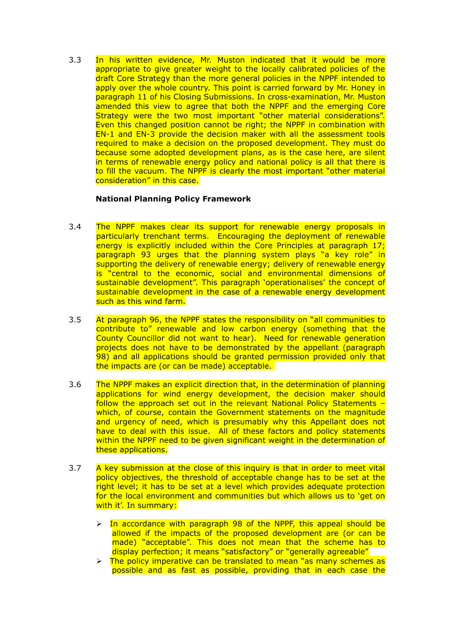3.3 In his written evidence, Mr. Muston indicated that it would be more appropriate to give greater weight to the locally calibrated policies of the draft Core Strategy than the more general policies in the NPPF intended to apply over the whole country. This point is carried forward by Mr. Honey in paragraph 11 of his Closing Submissions. In cross-examination, Mr. Muston amended this view to agree that both the NPPF and the emerging Core Strategy were the two most important "other material considerations". Even this changed position cannot be right; the NPPF in combination with EN-1 and EN-3 provide the decision maker with all the assessment tools required to make a decision on the proposed development. They must do because some adopted development plans, as is the case here, are silent in terms of renewable energy policy and national policy is all that there is to fill the vacuum. The NPPF is clearly the most important "other material consideration" in this case.

# **National Planning Policy Framework**

- 3.4 The NPPF makes clear its support for renewable energy proposals in particularly trenchant terms. Encouraging the deployment of renewable energy is explicitly included within the Core Principles at paragraph 17; paragraph 93 urges that the planning system plays "a key role" in supporting the delivery of renewable energy; delivery of renewable energy is "central to the economic, social and environmental dimensions of sustainable development". This paragraph 'operationalises' the concept of sustainable development in the case of a renewable energy development such as this wind farm.
- 3.5 At paragraph 96, the NPPF states the responsibility on "all communities to contribute to" renewable and low carbon energy (something that the County Councillor did not want to hear). Need for renewable generation projects does not have to be demonstrated by the appellant (paragraph 98) and all applications should be granted permission provided only that the impacts are (or can be made) acceptable.
- 3.6 The NPPF makes an explicit direction that, in the determination of planning applications for wind energy development, the decision maker should follow the approach set out in the relevant National Policy Statements – which, of course, contain the Government statements on the magnitude and urgency of need, which is presumably why this Appellant does not have to deal with this issue. All of these factors and policy statements within the NPPF need to be given significant weight in the determination of these applications.
- 3.7 A key submission at the close of this inquiry is that in order to meet vital policy objectives, the threshold of acceptable change has to be set at the right level; it has to be set at a level which provides adequate protection for the local environment and communities but which allows us to 'get on with it'. In summary:
	- $\triangleright$  In accordance with paragraph 98 of the NPPF, this appeal should be allowed if the impacts of the proposed development are (or can be made) "acceptable". This does not mean that the scheme has to display perfection; it means "satisfactory" or "generally agreeable"
	- $\triangleright$  The policy imperative can be translated to mean "as many schemes as possible and as fast as possible, providing that in each case the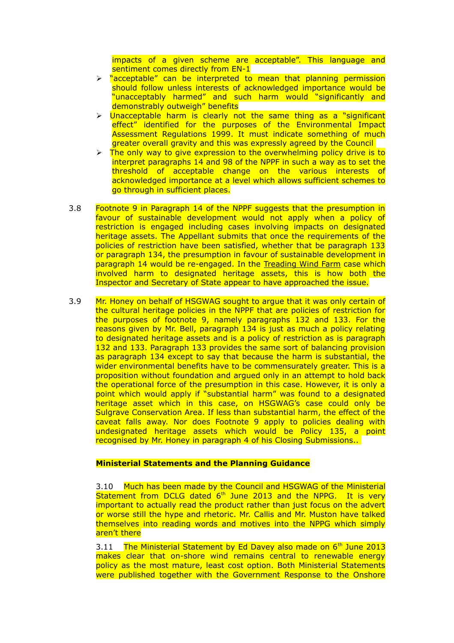impacts of a given scheme are acceptable". This language and sentiment comes directly from EN-1

- > "acceptable" can be interpreted to mean that planning permission should follow unless interests of acknowledged importance would be "unacceptably harmed" and such harm would "significantly and demonstrably outweigh" benefits
- $\triangleright$  Unacceptable harm is clearly not the same thing as a "significant effect" identified for the purposes of the Environmental Impact Assessment Regulations 1999. It must indicate something of much greater overall gravity and this was expressly agreed by the Council
- The only way to give expression to the overwhelming policy drive is to interpret paragraphs 14 and 98 of the NPPF in such a way as to set the threshold of acceptable change on the various interests of acknowledged importance at a level which allows sufficient schemes to go through in sufficient places.
- 3.8 Footnote 9 in Paragraph 14 of the NPPF suggests that the presumption in favour of sustainable development would not apply when a policy of restriction is engaged including cases involving impacts on designated heritage assets. The Appellant submits that once the requirements of the policies of restriction have been satisfied, whether that be paragraph 133 or paragraph 134, the presumption in favour of sustainable development in paragraph 14 would be re-engaged. In the Treading Wind Farm case which involved harm to designated heritage assets, this is how both the Inspector and Secretary of State appear to have approached the issue.
- 3.9 Mr. Honey on behalf of HSGWAG sought to argue that it was only certain of the cultural heritage policies in the NPPF that are policies of restriction for the purposes of footnote 9, namely paragraphs 132 and 133. For the reasons given by Mr. Bell, paragraph 134 is just as much a policy relating to designated heritage assets and is a policy of restriction as is paragraph 132 and 133. Paragraph 133 provides the same sort of balancing provision as paragraph 134 except to say that because the harm is substantial, the wider environmental benefits have to be commensurately greater. This is a proposition without foundation and argued only in an attempt to hold back the operational force of the presumption in this case. However, it is only a point which would apply if "substantial harm" was found to a designated heritage asset which in this case, on HSGWAG's case could only be Sulgrave Conservation Area. If less than substantial harm, the effect of the caveat falls away. Nor does Footnote 9 apply to policies dealing with undesignated heritage assets which would be Policy 135, a point recognised by Mr. Honey in paragraph 4 of his Closing Submissions..

### **Ministerial Statements and the Planning Guidance**

3.10 Much has been made by the Council and HSGWAG of the Ministerial Statement from DCLG dated  $6<sup>th</sup>$  June 2013 and the NPPG. It is very important to actually read the product rather than just focus on the advert or worse still the hype and rhetoric. Mr. Callis and Mr. Muston have talked themselves into reading words and motives into the NPPG which simply aren't there

3.11 The Ministerial Statement by Ed Davey also made on  $6<sup>th</sup>$  June 2013 makes clear that on-shore wind remains central to renewable energy policy as the most mature, least cost option. Both Ministerial Statements were published together with the Government Response to the Onshore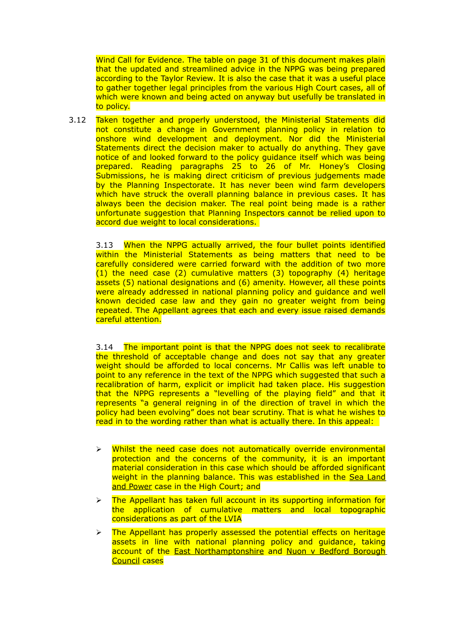Wind Call for Evidence. The table on page 31 of this document makes plain that the updated and streamlined advice in the NPPG was being prepared according to the Taylor Review. It is also the case that it was a useful place to gather together legal principles from the various High Court cases, all of which were known and being acted on anyway but usefully be translated in to policy.

3.12 Taken together and properly understood, the Ministerial Statements did not constitute a change in Government planning policy in relation to onshore wind development and deployment. Nor did the Ministerial Statements direct the decision maker to actually do anything. They gave notice of and looked forward to the policy guidance itself which was being prepared. Reading paragraphs 25 to 26 of Mr. Honey's Closing Submissions, he is making direct criticism of previous judgements made by the Planning Inspectorate. It has never been wind farm developers which have struck the overall planning balance in previous cases. It has always been the decision maker. The real point being made is a rather unfortunate suggestion that Planning Inspectors cannot be relied upon to accord due weight to local considerations.

3.13 When the NPPG actually arrived, the four bullet points identified within the Ministerial Statements as being matters that need to be carefully considered were carried forward with the addition of two more (1) the need case (2) cumulative matters (3) topography (4) heritage assets (5) national designations and (6) amenity. However, all these points were already addressed in national planning policy and guidance and well known decided case law and they gain no greater weight from being repeated. The Appellant agrees that each and every issue raised demands careful attention.

3.14 The important point is that the NPPG does not seek to recalibrate the threshold of acceptable change and does not say that any greater weight should be afforded to local concerns. Mr Callis was left unable to point to any reference in the text of the NPPG which suggested that such a recalibration of harm, explicit or implicit had taken place. His suggestion that the NPPG represents a "levelling of the playing field" and that it represents "a general reigning in of the direction of travel in which the policy had been evolving" does not bear scrutiny. That is what he wishes to read in to the wording rather than what is actually there. In this appeal:

- $\triangleright$  Whilst the need case does not automatically override environmental protection and the concerns of the community, it is an important material consideration in this case which should be afforded significant weight in the planning balance. This was established in the Sea Land and Power case in the High Court; and
- $\triangleright$  The Appellant has taken full account in its supporting information for the application of cumulative matters and local topographic considerations as part of the LVIA
- $\triangleright$  The Appellant has properly assessed the potential effects on heritage assets in line with national planning policy and guidance, taking account of the East Northamptonshire and Nuon v Bedford Borough Council cases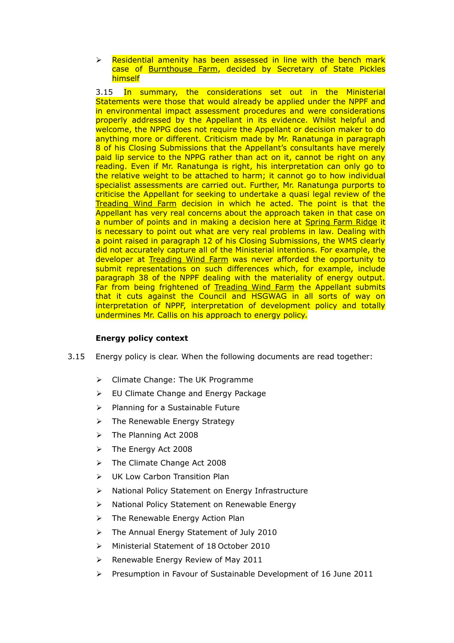$\triangleright$  Residential amenity has been assessed in line with the bench mark case of Burnthouse Farm, decided by Secretary of State Pickles himself

3.15 In summary, the considerations set out in the Ministerial Statements were those that would already be applied under the NPPF and in environmental impact assessment procedures and were considerations properly addressed by the Appellant in its evidence. Whilst helpful and welcome, the NPPG does not require the Appellant or decision maker to do anything more or different. Criticism made by Mr. Ranatunga in paragraph 8 of his Closing Submissions that the Appellant's consultants have merely paid lip service to the NPPG rather than act on it, cannot be right on any reading. Even if Mr. Ranatunga is right, his interpretation can only go to the relative weight to be attached to harm; it cannot go to how individual specialist assessments are carried out. Further, Mr. Ranatunga purports to criticise the Appellant for seeking to undertake a quasi legal review of the Treading Wind Farm decision in which he acted. The point is that the Appellant has very real concerns about the approach taken in that case on a number of points and in making a decision here at Spring Farm Ridge it is necessary to point out what are very real problems in law. Dealing with a point raised in paragraph 12 of his Closing Submissions, the WMS clearly did not accurately capture all of the Ministerial intentions. For example, the developer at Treading Wind Farm was never afforded the opportunity to submit representations on such differences which, for example, include paragraph 38 of the NPPF dealing with the materiality of energy output. Far from being frightened of Treading Wind Farm the Appellant submits that it cuts against the Council and HSGWAG in all sorts of way on interpretation of NPPF, interpretation of development policy and totally undermines Mr. Callis on his approach to energy policy.

# **Energy policy context**

- 3.15 Energy policy is clear. When the following documents are read together:
	- Climate Change: The UK Programme
	- EU Climate Change and Energy Package
	- $\triangleright$  Planning for a Sustainable Future
	- $\triangleright$  The Renewable Energy Strategy
	- $\triangleright$  The Planning Act 2008
	- $\triangleright$  The Energy Act 2008
	- > The Climate Change Act 2008
	- UK Low Carbon Transition Plan
	- > National Policy Statement on Energy Infrastructure
	- ▶ National Policy Statement on Renewable Energy
	- $\triangleright$  The Renewable Energy Action Plan
	- > The Annual Energy Statement of July 2010
	- Ministerial Statement of 18 October 2010
	- $\triangleright$  Renewable Energy Review of May 2011
	- $\triangleright$  Presumption in Favour of Sustainable Development of 16 June 2011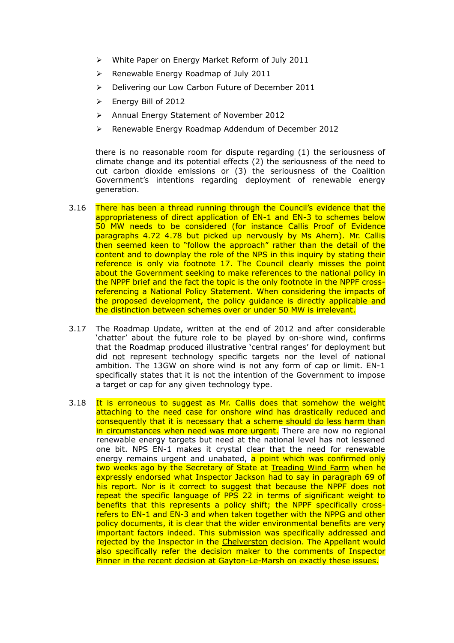- White Paper on Energy Market Reform of July 2011
- $\triangleright$  Renewable Energy Roadmap of July 2011
- **Delivering our Low Carbon Future of December 2011**
- Energy Bill of 2012
- Annual Energy Statement of November 2012
- Renewable Energy Roadmap Addendum of December 2012

there is no reasonable room for dispute regarding (1) the seriousness of climate change and its potential effects (2) the seriousness of the need to cut carbon dioxide emissions or (3) the seriousness of the Coalition Government's intentions regarding deployment of renewable energy generation.

- 3.16 There has been a thread running through the Council's evidence that the appropriateness of direct application of EN-1 and EN-3 to schemes below 50 MW needs to be considered (for instance Callis Proof of Evidence paragraphs 4.72 4.78 but picked up nervously by Ms Ahern). Mr. Callis then seemed keen to "follow the approach" rather than the detail of the content and to downplay the role of the NPS in this inquiry by stating their reference is only via footnote 17. The Council clearly misses the point about the Government seeking to make references to the national policy in the NPPF brief and the fact the topic is the only footnote in the NPPF crossreferencing a National Policy Statement. When considering the impacts of the proposed development, the policy guidance is directly applicable and the distinction between schemes over or under 50 MW is irrelevant.
- 3.17 The Roadmap Update, written at the end of 2012 and after considerable 'chatter' about the future role to be played by on-shore wind, confirms that the Roadmap produced illustrative 'central ranges' for deployment but did not represent technology specific targets nor the level of national ambition. The 13GW on shore wind is not any form of cap or limit. EN-1 specifically states that it is not the intention of the Government to impose a target or cap for any given technology type.
- 3.18 It is erroneous to suggest as Mr. Callis does that somehow the weight attaching to the need case for onshore wind has drastically reduced and consequently that it is necessary that a scheme should do less harm than in circumstances when need was more urgent. There are now no regional renewable energy targets but need at the national level has not lessened one bit. NPS EN-1 makes it crystal clear that the need for renewable energy remains urgent and unabated, a point which was confirmed only two weeks ago by the Secretary of State at Treading Wind Farm when he expressly endorsed what Inspector Jackson had to say in paragraph 69 of his report. Nor is it correct to suggest that because the NPPF does not repeat the specific language of PPS 22 in terms of significant weight to benefits that this represents a policy shift; the NPPF specifically crossrefers to EN-1 and EN-3 and when taken together with the NPPG and other policy documents, it is clear that the wider environmental benefits are very important factors indeed. This submission was specifically addressed and rejected by the Inspector in the Chelverston decision. The Appellant would also specifically refer the decision maker to the comments of Inspector Pinner in the recent decision at Gayton-Le-Marsh on exactly these issues.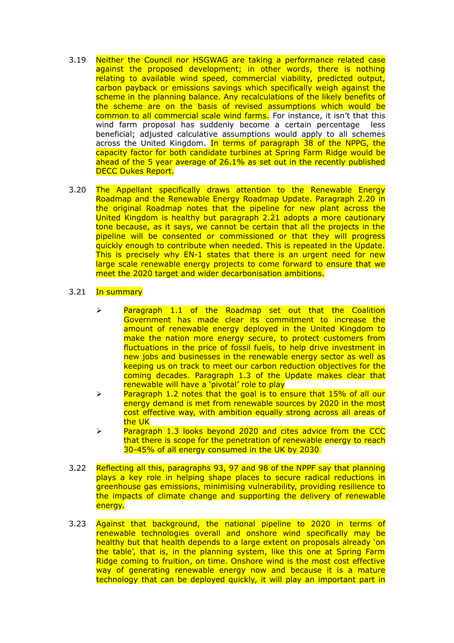- 3.19 Neither the Council nor HSGWAG are taking a performance related case against the proposed development; in other words, there is nothing relating to available wind speed, commercial viability, predicted output, carbon payback or emissions savings which specifically weigh against the scheme in the planning balance. Any recalculations of the likely benefits of the scheme are on the basis of revised assumptions which would be common to all commercial scale wind farms. For instance, it isn't that this wind farm proposal has suddenly become a certain percentage less beneficial; adjusted calculative assumptions would apply to all schemes across the United Kingdom. In terms of paragraph 38 of the NPPG, the capacity factor for both candidate turbines at Spring Farm Ridge would be ahead of the 5 year average of 26.1% as set out in the recently published DECC Dukes Report.
- 3.20 The Appellant specifically draws attention to the Renewable Energy Roadmap and the Renewable Energy Roadmap Update. Paragraph 2.20 in the original Roadmap notes that the pipeline for new plant across the United Kingdom is healthy but paragraph 2.21 adopts a more cautionary tone because, as it says, we cannot be certain that all the projects in the pipeline will be consented or commissioned or that they will progress quickly enough to contribute when needed. This is repeated in the Update. This is precisely why EN-1 states that there is an urgent need for new large scale renewable energy projects to come forward to ensure that we meet the 2020 target and wider decarbonisation ambitions.

# 3.21 In summary

- $\geq$  Paragraph 1.1 of the Roadmap set out that the Coalition Government has made clear its commitment to increase the amount of renewable energy deployed in the United Kingdom to make the nation more energy secure, to protect customers from fluctuations in the price of fossil fuels, to help drive investment in new jobs and businesses in the renewable energy sector as well as keeping us on track to meet our carbon reduction objectives for the coming decades. Paragraph 1.3 of the Update makes clear that renewable will have a 'pivotal' role to play
- $\geq$  Paragraph 1.2 notes that the goal is to ensure that 15% of all our energy demand is met from renewable sources by 2020 in the most cost effective way, with ambition equally strong across all areas of the UK
- $\ge$  Paragraph 1.3 looks beyond 2020 and cites advice from the CCC that there is scope for the penetration of renewable energy to reach 30-45% of all energy consumed in the UK by 2030
- 3.22 Reflecting all this, paragraphs 93, 97 and 98 of the NPPF say that planning plays a key role in helping shape places to secure radical reductions in greenhouse gas emissions, minimising vulnerability, providing resilience to the impacts of climate change and supporting the delivery of renewable energy.
- 3.23 Against that background, the national pipeline to 2020 in terms of renewable technologies overall and onshore wind specifically may be healthy but that health depends to a large extent on proposals already 'on the table', that is, in the planning system, like this one at Spring Farm Ridge coming to fruition, on time. Onshore wind is the most cost effective way of generating renewable energy now and because it is a mature technology that can be deployed quickly, it will play an important part in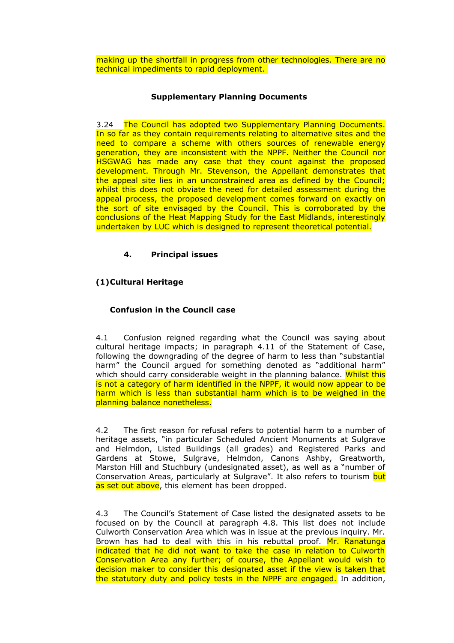making up the shortfall in progress from other technologies. There are no technical impediments to rapid deployment.

# **Supplementary Planning Documents**

3.24 The Council has adopted two Supplementary Planning Documents. In so far as they contain requirements relating to alternative sites and the need to compare a scheme with others sources of renewable energy generation, they are inconsistent with the NPPF. Neither the Council nor HSGWAG has made any case that they count against the proposed development. Through Mr. Stevenson, the Appellant demonstrates that the appeal site lies in an unconstrained area as defined by the Council; whilst this does not obviate the need for detailed assessment during the appeal process, the proposed development comes forward on exactly on the sort of site envisaged by the Council. This is corroborated by the conclusions of the Heat Mapping Study for the East Midlands, interestingly undertaken by LUC which is designed to represent theoretical potential.

# **4. Principal issues**

# **(1)Cultural Heritage**

# **Confusion in the Council case**

4.1 Confusion reigned regarding what the Council was saying about cultural heritage impacts; in paragraph 4.11 of the Statement of Case, following the downgrading of the degree of harm to less than "substantial harm" the Council arqued for something denoted as "additional harm" which should carry considerable weight in the planning balance. Whilst this is not a category of harm identified in the NPPF, it would now appear to be harm which is less than substantial harm which is to be weighed in the planning balance nonetheless.

4.2 The first reason for refusal refers to potential harm to a number of heritage assets, "in particular Scheduled Ancient Monuments at Sulgrave and Helmdon, Listed Buildings (all grades) and Registered Parks and Gardens at Stowe, Sulgrave, Helmdon, Canons Ashby, Greatworth, Marston Hill and Stuchbury (undesignated asset), as well as a "number of Conservation Areas, particularly at Sulgrave". It also refers to tourism but as set out above, this element has been dropped.

4.3 The Council's Statement of Case listed the designated assets to be focused on by the Council at paragraph 4.8. This list does not include Culworth Conservation Area which was in issue at the previous inquiry. Mr. Brown has had to deal with this in his rebuttal proof. Mr. Ranatunga indicated that he did not want to take the case in relation to Culworth Conservation Area any further; of course, the Appellant would wish to decision maker to consider this designated asset if the view is taken that the statutory duty and policy tests in the NPPF are engaged. In addition,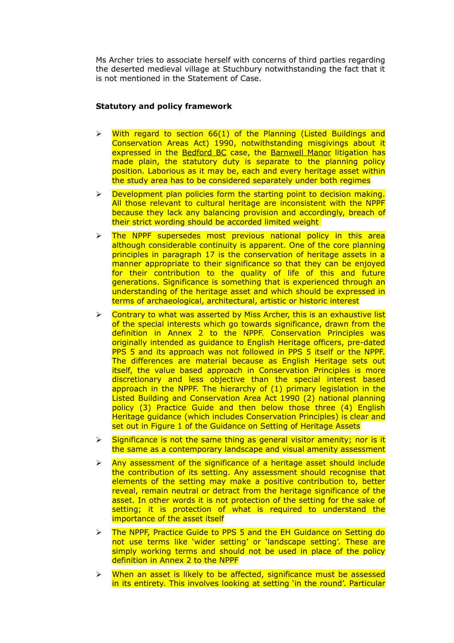Ms Archer tries to associate herself with concerns of third parties regarding the deserted medieval village at Stuchbury notwithstanding the fact that it is not mentioned in the Statement of Case.

# **Statutory and policy framework**

- $\triangleright$  With regard to section 66(1) of the Planning (Listed Buildings and Conservation Areas Act) 1990, notwithstanding misgivings about it expressed in the Bedford BC case, the Barnwell Manor litigation has made plain, the statutory duty is separate to the planning policy position. Laborious as it may be, each and every heritage asset within the study area has to be considered separately under both regimes
- $\triangleright$  Development plan policies form the starting point to decision making. All those relevant to cultural heritage are inconsistent with the NPPF because they lack any balancing provision and accordingly, breach of their strict wording should be accorded limited weight
- $\triangleright$  The NPPF supersedes most previous national policy in this area although considerable continuity is apparent. One of the core planning principles in paragraph 17 is the conservation of heritage assets in a manner appropriate to their significance so that they can be enjoyed for their contribution to the quality of life of this and future generations. Significance is something that is experienced through an understanding of the heritage asset and which should be expressed in terms of archaeological, architectural, artistic or historic interest
- $\triangleright$  Contrary to what was asserted by Miss Archer, this is an exhaustive list of the special interests which go towards significance, drawn from the definition in Annex 2 to the NPPF. Conservation Principles was originally intended as guidance to English Heritage officers, pre-dated PPS 5 and its approach was not followed in PPS 5 itself or the NPPF. The differences are material because as English Heritage sets out itself, the value based approach in Conservation Principles is more discretionary and less objective than the special interest based approach in the NPPF. The hierarchy of (1) primary legislation in the Listed Building and Conservation Area Act 1990 (2) national planning policy (3) Practice Guide and then below those three (4) English Heritage guidance (which includes Conservation Principles) is clear and set out in Figure 1 of the Guidance on Setting of Heritage Assets
- $\triangleright$  Significance is not the same thing as general visitor amenity; nor is it the same as a contemporary landscape and visual amenity assessment
- $\triangleright$  Any assessment of the significance of a heritage asset should include the contribution of its setting. Any assessment should recognise that elements of the setting may make a positive contribution to, better reveal, remain neutral or detract from the heritage significance of the asset. In other words it is not protection of the setting for the sake of setting; it is protection of what is required to understand the importance of the asset itself
- **Example 15 The NPPF, Practice Guide to PPS 5 and the EH Guidance on Setting do** not use terms like 'wider setting' or 'landscape setting'. These are simply working terms and should not be used in place of the policy definition in Annex 2 to the NPPF
- When an asset is likely to be affected, significance must be assessed in its entirety. This involves looking at setting 'in the round'. Particular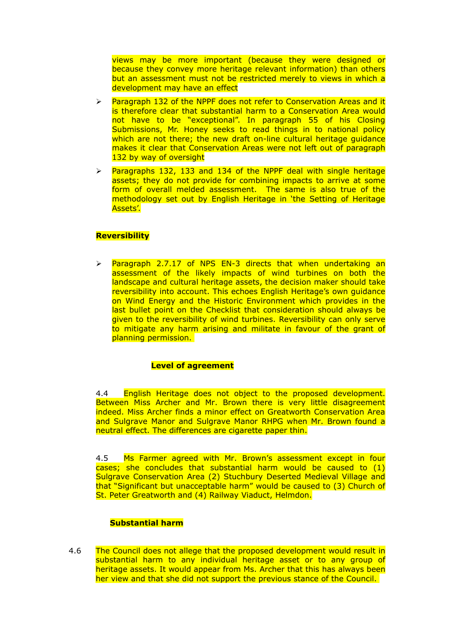views may be more important (because they were designed or because they convey more heritage relevant information) than others but an assessment must not be restricted merely to views in which a development may have an effect

- $\triangleright$  Paragraph 132 of the NPPF does not refer to Conservation Areas and it is therefore clear that substantial harm to a Conservation Area would not have to be "exceptional". In paragraph 55 of his Closing Submissions, Mr. Honey seeks to read things in to national policy which are not there; the new draft on-line cultural heritage quidance makes it clear that Conservation Areas were not left out of paragraph 132 by way of oversight
- $\triangleright$  Paragraphs 132, 133 and 134 of the NPPF deal with single heritage assets; they do not provide for combining impacts to arrive at some form of overall melded assessment. The same is also true of the methodology set out by English Heritage in 'the Setting of Heritage Assets'.

# **Reversibility**

 $\ge$  Paragraph 2.7.17 of NPS EN-3 directs that when undertaking an assessment of the likely impacts of wind turbines on both the landscape and cultural heritage assets, the decision maker should take reversibility into account. This echoes English Heritage's own guidance on Wind Energy and the Historic Environment which provides in the last bullet point on the Checklist that consideration should always be given to the reversibility of wind turbines. Reversibility can only serve to mitigate any harm arising and militate in favour of the grant of planning permission.

### **Level of agreement**

4.4 English Heritage does not object to the proposed development. Between Miss Archer and Mr. Brown there is very little disagreement indeed. Miss Archer finds a minor effect on Greatworth Conservation Area and Sulgrave Manor and Sulgrave Manor RHPG when Mr. Brown found a neutral effect. The differences are cigarette paper thin.

4.5 Ms Farmer agreed with Mr. Brown's assessment except in four cases; she concludes that substantial harm would be caused to (1) Sulgrave Conservation Area (2) Stuchbury Deserted Medieval Village and that "Significant but unacceptable harm" would be caused to (3) Church of St. Peter Greatworth and (4) Railway Viaduct, Helmdon.

### **Substantial harm**

4.6 The Council does not allege that the proposed development would result in substantial harm to any individual heritage asset or to any group of heritage assets. It would appear from Ms. Archer that this has always been her view and that she did not support the previous stance of the Council.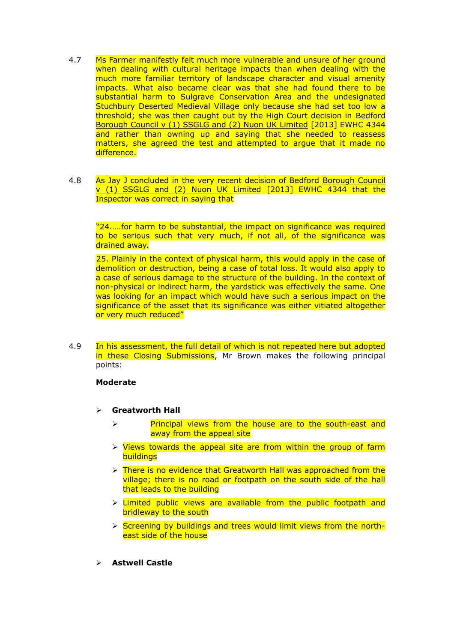- 4.7 Ms Farmer manifestly felt much more vulnerable and unsure of her ground when dealing with cultural heritage impacts than when dealing with the much more familiar territory of landscape character and visual amenity impacts. What also became clear was that she had found there to be substantial harm to Sulgrave Conservation Area and the undesignated Stuchbury Deserted Medieval Village only because she had set too low a threshold; she was then caught out by the High Court decision in Bedford Borough Council v (1) SSGLG and (2) Nuon UK Limited [2013] EWHC 4344 and rather than owning up and saying that she needed to reassess matters, she agreed the test and attempted to argue that it made no difference.
- 4.8 As Jay J concluded in the very recent decision of Bedford Borough Council v (1) SSGLG and (2) Nuon UK Limited [2013] EWHC 4344 that the Inspector was correct in saying that

"24.….for harm to be substantial, the impact on significance was required to be serious such that very much, if not all, of the significance was drained away.

25. Plainly in the context of physical harm, this would apply in the case of demolition or destruction, being a case of total loss. It would also apply to a case of serious damage to the structure of the building. In the context of non-physical or indirect harm, the yardstick was effectively the same. One was looking for an impact which would have such a serious impact on the significance of the asset that its significance was either vitiated altogether or very much reduced"

4.9 In his assessment, the full detail of which is not repeated here but adopted in these Closing Submissions, Mr Brown makes the following principal points:

### **Moderate**

- **Greatworth Hall**
	- Principal views from the house are to the south-east and away from the appeal site
	- $\triangleright$  Views towards the appeal site are from within the group of farm **buildings**
	- $\triangleright$  There is no evidence that Greatworth Hall was approached from the village; there is no road or footpath on the south side of the hall that leads to the building
	- $\triangleright$  Limited public views are available from the public footpath and bridleway to the south
	- $\triangleright$  Screening by buildings and trees would limit views from the northeast side of the house
- **Astwell Castle**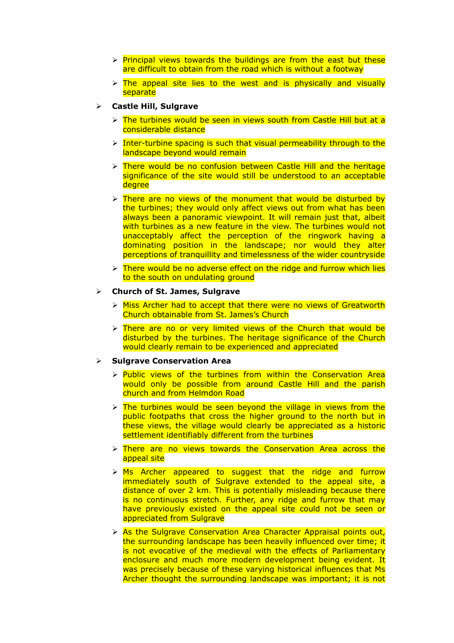- $\triangleright$  Principal views towards the buildings are from the east but these are difficult to obtain from the road which is without a footway
- $\triangleright$  The appeal site lies to the west and is physically and visually separate
- **Castle Hill, Sulgrave**
	- $\triangleright$  The turbines would be seen in views south from Castle Hill but at a considerable distance
	- $\triangleright$  Inter-turbine spacing is such that visual permeability through to the landscape beyond would remain
	- $\triangleright$  There would be no confusion between Castle Hill and the heritage significance of the site would still be understood to an acceptable degree
	- $\triangleright$  There are no views of the monument that would be disturbed by the turbines; they would only affect views out from what has been always been a panoramic viewpoint. It will remain just that, albeit with turbines as a new feature in the view. The turbines would not unacceptably affect the perception of the ringwork having a dominating position in the landscape; nor would they alter perceptions of tranquillity and timelessness of the wider countryside
	- $\triangleright$  There would be no adverse effect on the ridge and furrow which lies to the south on undulating ground

#### **Church of St. James, Sulgrave**

- $\triangleright$  Miss Archer had to accept that there were no views of Greatworth Church obtainable from St. James's Church
- $\triangleright$  There are no or very limited views of the Church that would be disturbed by the turbines. The heritage significance of the Church would clearly remain to be experienced and appreciated

#### **Sulgrave Conservation Area**

- $\triangleright$  Public views of the turbines from within the Conservation Area would only be possible from around Castle Hill and the parish church and from Helmdon Road
- $\triangleright$  The turbines would be seen beyond the village in views from the public footpaths that cross the higher ground to the north but in these views, the village would clearly be appreciated as a historic settlement identifiably different from the turbines
- $\triangleright$  There are no views towards the Conservation Area across the appeal site
- $\triangleright$  Ms Archer appeared to suggest that the ridge and furrow immediately south of Sulgrave extended to the appeal site, a distance of over 2 km. This is potentially misleading because there is no continuous stretch. Further, any ridge and furrow that may have previously existed on the appeal site could not be seen or appreciated from Sulgrave
- > As the Sulgrave Conservation Area Character Appraisal points out, the surrounding landscape has been heavily influenced over time; it is not evocative of the medieval with the effects of Parliamentary enclosure and much more modern development being evident. It was precisely because of these varying historical influences that Ms Archer thought the surrounding landscape was important; it is not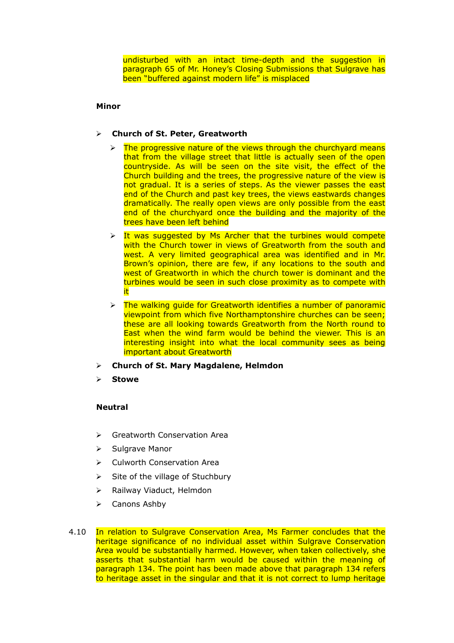undisturbed with an intact time-depth and the suggestion in paragraph 65 of Mr. Honey's Closing Submissions that Sulgrave has been "buffered against modern life" is misplaced

### **Minor**

# **Church of St. Peter, Greatworth**

- $\triangleright$  The progressive nature of the views through the churchyard means that from the village street that little is actually seen of the open countryside. As will be seen on the site visit, the effect of the Church building and the trees, the progressive nature of the view is not gradual. It is a series of steps. As the viewer passes the east end of the Church and past key trees, the views eastwards changes dramatically. The really open views are only possible from the east end of the churchyard once the building and the majority of the trees have been left behind
- $\triangleright$  It was suggested by Ms Archer that the turbines would compete with the Church tower in views of Greatworth from the south and west. A very limited geographical area was identified and in Mr. Brown's opinion, there are few, if any locations to the south and west of Greatworth in which the church tower is dominant and the turbines would be seen in such close proximity as to compete with it
- $\triangleright$  The walking quide for Greatworth identifies a number of panoramic viewpoint from which five Northamptonshire churches can be seen; these are all looking towards Greatworth from the North round to East when the wind farm would be behind the viewer. This is an interesting insight into what the local community sees as being important about Greatworth
- **Church of St. Mary Magdalene, Helmdon**
- **Stowe**

# **Neutral**

- Greatworth Conservation Area
- $\triangleright$  Sulgrave Manor
- ▶ Culworth Conservation Area
- $\triangleright$  Site of the village of Stuchbury
- $\triangleright$  Railway Viaduct, Helmdon
- $\triangleright$  Canons Ashby
- 4.10 In relation to Sulgrave Conservation Area, Ms Farmer concludes that the heritage significance of no individual asset within Sulgrave Conservation Area would be substantially harmed. However, when taken collectively, she asserts that substantial harm would be caused within the meaning of paragraph 134. The point has been made above that paragraph 134 refers to heritage asset in the singular and that it is not correct to lump heritage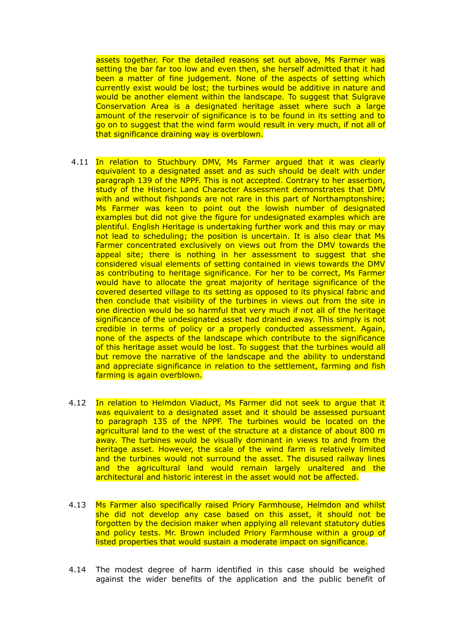assets together. For the detailed reasons set out above, Ms Farmer was setting the bar far too low and even then, she herself admitted that it had been a matter of fine judgement. None of the aspects of setting which currently exist would be lost; the turbines would be additive in nature and would be another element within the landscape. To suggest that Sulgrave Conservation Area is a designated heritage asset where such a large amount of the reservoir of significance is to be found in its setting and to go on to suggest that the wind farm would result in very much, if not all of that significance draining way is overblown.

- 4.11 In relation to Stuchbury DMV, Ms Farmer argued that it was clearly equivalent to a designated asset and as such should be dealt with under paragraph 139 of the NPPF. This is not accepted. Contrary to her assertion, study of the Historic Land Character Assessment demonstrates that DMV with and without fishponds are not rare in this part of Northamptonshire: Ms Farmer was keen to point out the lowish number of designated examples but did not give the figure for undesignated examples which are plentiful. English Heritage is undertaking further work and this may or may not lead to scheduling; the position is uncertain. It is also clear that Ms Farmer concentrated exclusively on views out from the DMV towards the appeal site; there is nothing in her assessment to suggest that she considered visual elements of setting contained in views towards the DMV as contributing to heritage significance. For her to be correct, Ms Farmer would have to allocate the great majority of heritage significance of the covered deserted village to its setting as opposed to its physical fabric and then conclude that visibility of the turbines in views out from the site in one direction would be so harmful that very much if not all of the heritage significance of the undesignated asset had drained away. This simply is not credible in terms of policy or a properly conducted assessment. Again, none of the aspects of the landscape which contribute to the significance of this heritage asset would be lost. To suggest that the turbines would all but remove the narrative of the landscape and the ability to understand and appreciate significance in relation to the settlement, farming and fish farming is again overblown.
- 4.12 In relation to Helmdon Viaduct, Ms Farmer did not seek to argue that it was equivalent to a designated asset and it should be assessed pursuant to paragraph 135 of the NPPF. The turbines would be located on the agricultural land to the west of the structure at a distance of about 800 m away. The turbines would be visually dominant in views to and from the heritage asset. However, the scale of the wind farm is relatively limited and the turbines would not surround the asset. The disused railway lines and the agricultural land would remain largely unaltered and the architectural and historic interest in the asset would not be affected.
- 4.13 Ms Farmer also specifically raised Priory Farmhouse, Helmdon and whilst she did not develop any case based on this asset, it should not be forgotten by the decision maker when applying all relevant statutory duties and policy tests. Mr. Brown included Priory Farmhouse within a group of listed properties that would sustain a moderate impact on significance.
- 4.14 The modest degree of harm identified in this case should be weighed against the wider benefits of the application and the public benefit of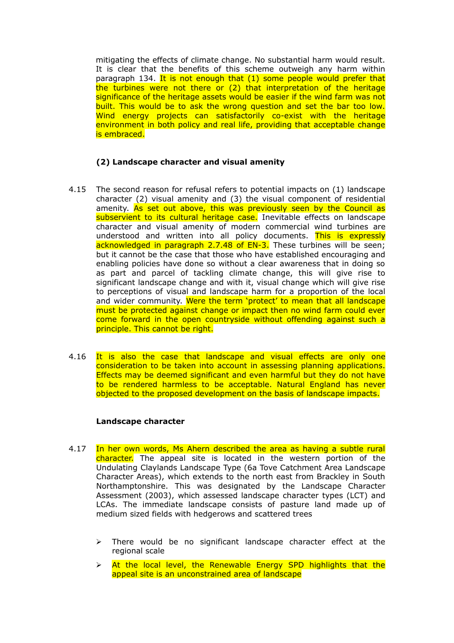mitigating the effects of climate change. No substantial harm would result. It is clear that the benefits of this scheme outweigh any harm within paragraph 134. It is not enough that (1) some people would prefer that the turbines were not there or (2) that interpretation of the heritage significance of the heritage assets would be easier if the wind farm was not built. This would be to ask the wrong question and set the bar too low. Wind energy projects can satisfactorily co-exist with the heritage environment in both policy and real life, providing that acceptable change is embraced.

# **(2) Landscape character and visual amenity**

- 4.15 The second reason for refusal refers to potential impacts on (1) landscape character (2) visual amenity and (3) the visual component of residential amenity. As set out above, this was previously seen by the Council as subservient to its cultural heritage case. Inevitable effects on landscape character and visual amenity of modern commercial wind turbines are understood and written into all policy documents. This is expressly acknowledged in paragraph 2.7.48 of EN-3. These turbines will be seen; but it cannot be the case that those who have established encouraging and enabling policies have done so without a clear awareness that in doing so as part and parcel of tackling climate change, this will give rise to significant landscape change and with it, visual change which will give rise to perceptions of visual and landscape harm for a proportion of the local and wider community. Were the term 'protect' to mean that all landscape must be protected against change or impact then no wind farm could ever come forward in the open countryside without offending against such a principle. This cannot be right.
- 4.16 It is also the case that landscape and visual effects are only one consideration to be taken into account in assessing planning applications. Effects may be deemed significant and even harmful but they do not have to be rendered harmless to be acceptable. Natural England has never objected to the proposed development on the basis of landscape impacts.

### **Landscape character**

- 4.17 In her own words, Ms Ahern described the area as having a subtle rural character. The appeal site is located in the western portion of the Undulating Claylands Landscape Type (6a Tove Catchment Area Landscape Character Areas), which extends to the north east from Brackley in South Northamptonshire. This was designated by the Landscape Character Assessment (2003), which assessed landscape character types (LCT) and LCAs. The immediate landscape consists of pasture land made up of medium sized fields with hedgerows and scattered trees
	- $\triangleright$  There would be no significant landscape character effect at the regional scale
	- $\triangleright$  At the local level, the Renewable Energy SPD highlights that the appeal site is an unconstrained area of landscape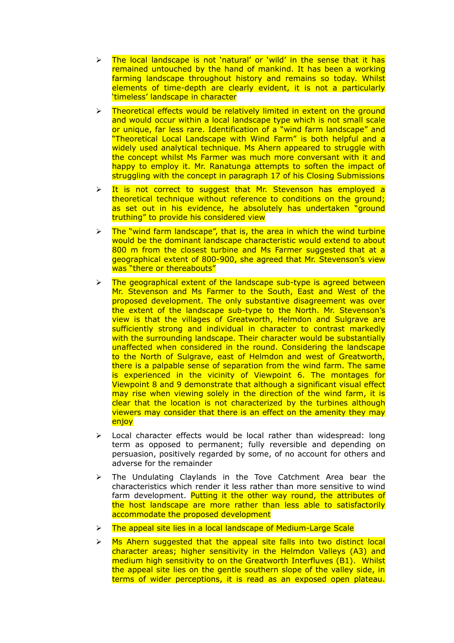- $\triangleright$  The local landscape is not 'natural' or 'wild' in the sense that it has remained untouched by the hand of mankind. It has been a working farming landscape throughout history and remains so today. Whilst elements of time-depth are clearly evident, it is not a particularly 'timeless' landscape in character
- Theoretical effects would be relatively limited in extent on the ground and would occur within a local landscape type which is not small scale or unique, far less rare. Identification of a "wind farm landscape" and "Theoretical Local Landscape with Wind Farm" is both helpful and a widely used analytical technique. Ms Ahern appeared to struggle with the concept whilst Ms Farmer was much more conversant with it and happy to employ it. Mr. Ranatunga attempts to soften the impact of struggling with the concept in paragraph 17 of his Closing Submissions
- $\triangleright$  It is not correct to suggest that Mr. Stevenson has employed a theoretical technique without reference to conditions on the ground; as set out in his evidence, he absolutely has undertaken "ground truthing" to provide his considered view
- The "wind farm landscape", that is, the area in which the wind turbine would be the dominant landscape characteristic would extend to about 800 m from the closest turbine and Ms Farmer suggested that at a geographical extent of 800-900, she agreed that Mr. Stevenson's view was "there or thereabouts"
- The geographical extent of the landscape sub-type is agreed between Mr. Stevenson and Ms Farmer to the South, East and West of the proposed development. The only substantive disagreement was over the extent of the landscape sub-type to the North. Mr. Stevenson's view is that the villages of Greatworth, Helmdon and Sulgrave are sufficiently strong and individual in character to contrast markedly with the surrounding landscape. Their character would be substantially unaffected when considered in the round. Considering the landscape to the North of Sulgrave, east of Helmdon and west of Greatworth, there is a palpable sense of separation from the wind farm. The same is experienced in the vicinity of Viewpoint 6. The montages for Viewpoint 8 and 9 demonstrate that although a significant visual effect may rise when viewing solely in the direction of the wind farm, it is clear that the location is not characterized by the turbines although viewers may consider that there is an effect on the amenity they may enjoy
- Local character effects would be local rather than widespread: long term as opposed to permanent; fully reversible and depending on persuasion, positively regarded by some, of no account for others and adverse for the remainder
- > The Undulating Claylands in the Tove Catchment Area bear the characteristics which render it less rather than more sensitive to wind farm development. Putting it the other way round, the attributes of the host landscape are more rather than less able to satisfactorily accommodate the proposed development
- $\triangleright$  The appeal site lies in a local landscape of Medium-Large Scale
- $\triangleright$  Ms Ahern suggested that the appeal site falls into two distinct local character areas; higher sensitivity in the Helmdon Valleys (A3) and medium high sensitivity to on the Greatworth Interfluves (B1). Whilst the appeal site lies on the gentle southern slope of the valley side, in terms of wider perceptions, it is read as an exposed open plateau.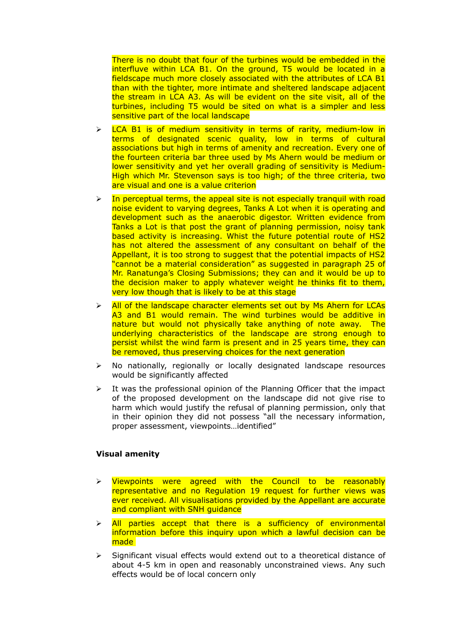There is no doubt that four of the turbines would be embedded in the interfluve within LCA B1. On the ground, T5 would be located in a fieldscape much more closely associated with the attributes of LCA B1 than with the tighter, more intimate and sheltered landscape adjacent the stream in LCA A3. As will be evident on the site visit, all of the turbines, including T5 would be sited on what is a simpler and less sensitive part of the local landscape

- LCA B1 is of medium sensitivity in terms of rarity, medium-low in terms of designated scenic quality, low in terms of cultural associations but high in terms of amenity and recreation. Every one of the fourteen criteria bar three used by Ms Ahern would be medium or lower sensitivity and yet her overall grading of sensitivity is Medium-High which Mr. Stevenson says is too high; of the three criteria, two are visual and one is a value criterion
- $\geq$  In perceptual terms, the appeal site is not especially tranquil with road noise evident to varying degrees, Tanks A Lot when it is operating and development such as the anaerobic digestor. Written evidence from Tanks a Lot is that post the grant of planning permission, noisy tank based activity is increasing. Whist the future potential route of HS2 has not altered the assessment of any consultant on behalf of the Appellant, it is too strong to suggest that the potential impacts of HS2 "cannot be a material consideration" as suggested in paragraph 25 of Mr. Ranatunga's Closing Submissions; they can and it would be up to the decision maker to apply whatever weight he thinks fit to them, very low though that is likely to be at this stage
- $\triangleright$  All of the landscape character elements set out by Ms Ahern for LCAs A3 and B1 would remain. The wind turbines would be additive in nature but would not physically take anything of note away. The underlying characteristics of the landscape are strong enough to persist whilst the wind farm is present and in 25 years time, they can be removed, thus preserving choices for the next generation
- $\triangleright$  No nationally, regionally or locally designated landscape resources would be significantly affected
- $\triangleright$  It was the professional opinion of the Planning Officer that the impact of the proposed development on the landscape did not give rise to harm which would justify the refusal of planning permission, only that in their opinion they did not possess "all the necessary information, proper assessment, viewpoints…identified"

### **Visual amenity**

- Viewpoints were agreed with the Council to be reasonably representative and no Regulation 19 request for further views was ever received. All visualisations provided by the Appellant are accurate and compliant with SNH quidance
- $\triangleright$  All parties accept that there is a sufficiency of environmental information before this inquiry upon which a lawful decision can be made
- $\triangleright$  Significant visual effects would extend out to a theoretical distance of about 4-5 km in open and reasonably unconstrained views. Any such effects would be of local concern only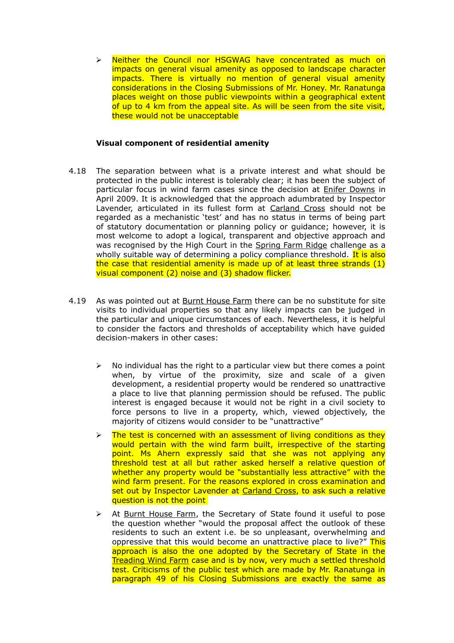> Neither the Council nor HSGWAG have concentrated as much on impacts on general visual amenity as opposed to landscape character impacts. There is virtually no mention of general visual amenity considerations in the Closing Submissions of Mr. Honey. Mr. Ranatunga places weight on those public viewpoints within a geographical extent of up to 4 km from the appeal site. As will be seen from the site visit, these would not be unacceptable

# **Visual component of residential amenity**

- 4.18 The separation between what is a private interest and what should be protected in the public interest is tolerably clear; it has been the subject of particular focus in wind farm cases since the decision at Enifer Downs in April 2009. It is acknowledged that the approach adumbrated by Inspector Lavender, articulated in its fullest form at Carland Cross should not be regarded as a mechanistic 'test' and has no status in terms of being part of statutory documentation or planning policy or guidance; however, it is most welcome to adopt a logical, transparent and objective approach and was recognised by the High Court in the Spring Farm Ridge challenge as a wholly suitable way of determining a policy compliance threshold. It is also the case that residential amenity is made up of at least three strands (1) visual component (2) noise and (3) shadow flicker.
- 4.19 As was pointed out at Burnt House Farm there can be no substitute for site visits to individual properties so that any likely impacts can be judged in the particular and unique circumstances of each. Nevertheless, it is helpful to consider the factors and thresholds of acceptability which have guided decision-makers in other cases:
	- $\triangleright$  No individual has the right to a particular view but there comes a point when, by virtue of the proximity, size and scale of a given development, a residential property would be rendered so unattractive a place to live that planning permission should be refused. The public interest is engaged because it would not be right in a civil society to force persons to live in a property, which, viewed objectively, the majority of citizens would consider to be "unattractive"
	- The test is concerned with an assessment of living conditions as they would pertain with the wind farm built, irrespective of the starting point. Ms Ahern expressly said that she was not applying any threshold test at all but rather asked herself a relative question of whether any property would be "substantially less attractive" with the wind farm present. For the reasons explored in cross examination and set out by Inspector Lavender at Carland Cross, to ask such a relative question is not the point
	- $\triangleright$  At Burnt House Farm, the Secretary of State found it useful to pose the question whether "would the proposal affect the outlook of these residents to such an extent i.e. be so unpleasant, overwhelming and oppressive that this would become an unattractive place to live?" This approach is also the one adopted by the Secretary of State in the Treading Wind Farm case and is by now, very much a settled threshold test. Criticisms of the public test which are made by Mr. Ranatunga in paragraph 49 of his Closing Submissions are exactly the same as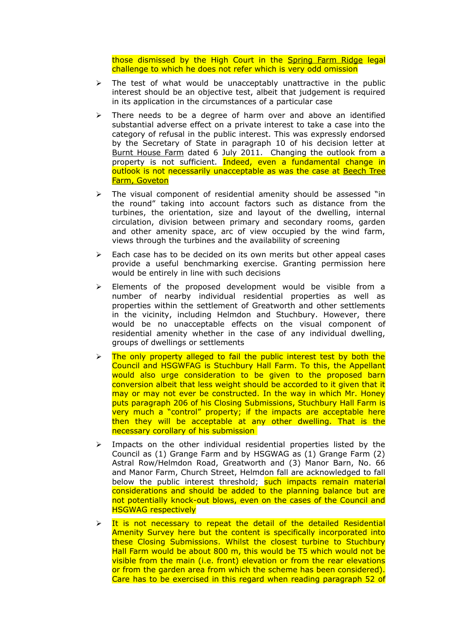those dismissed by the High Court in the Spring Farm Ridge legal challenge to which he does not refer which is very odd omission

- $\triangleright$  The test of what would be unacceptably unattractive in the public interest should be an objective test, albeit that judgement is required in its application in the circumstances of a particular case
- $\triangleright$  There needs to be a degree of harm over and above an identified substantial adverse effect on a private interest to take a case into the category of refusal in the public interest. This was expressly endorsed by the Secretary of State in paragraph 10 of his decision letter at Burnt House Farm dated 6 July 2011. Changing the outlook from a property is not sufficient. Indeed, even a fundamental change in outlook is not necessarily unacceptable as was the case at Beech Tree Farm, Goveton
- $\triangleright$  The visual component of residential amenity should be assessed "in the round" taking into account factors such as distance from the turbines, the orientation, size and layout of the dwelling, internal circulation, division between primary and secondary rooms, garden and other amenity space, arc of view occupied by the wind farm, views through the turbines and the availability of screening
- $\triangleright$  Each case has to be decided on its own merits but other appeal cases provide a useful benchmarking exercise. Granting permission here would be entirely in line with such decisions
- $\triangleright$  Elements of the proposed development would be visible from a number of nearby individual residential properties as well as properties within the settlement of Greatworth and other settlements in the vicinity, including Helmdon and Stuchbury. However, there would be no unacceptable effects on the visual component of residential amenity whether in the case of any individual dwelling, groups of dwellings or settlements
- $\triangleright$  The only property alleged to fail the public interest test by both the Council and HSGWFAG is Stuchbury Hall Farm. To this, the Appellant would also urge consideration to be given to the proposed barn conversion albeit that less weight should be accorded to it given that it may or may not ever be constructed. In the way in which Mr. Honey puts paragraph 206 of his Closing Submissions, Stuchbury Hall Farm is very much a "control" property; if the impacts are acceptable here then they will be acceptable at any other dwelling. That is the necessary corollary of his submission
- $\triangleright$  Impacts on the other individual residential properties listed by the Council as (1) Grange Farm and by HSGWAG as (1) Grange Farm (2) Astral Row/Helmdon Road, Greatworth and (3) Manor Barn, No. 66 and Manor Farm, Church Street, Helmdon fall are acknowledged to fall below the public interest threshold; such impacts remain material considerations and should be added to the planning balance but are not potentially knock-out blows, even on the cases of the Council and HSGWAG respectively
- $\triangleright$  It is not necessary to repeat the detail of the detailed Residential Amenity Survey here but the content is specifically incorporated into these Closing Submissions. Whilst the closest turbine to Stuchbury Hall Farm would be about 800 m, this would be T5 which would not be visible from the main (i.e. front) elevation or from the rear elevations or from the garden area from which the scheme has been considered). Care has to be exercised in this regard when reading paragraph 52 of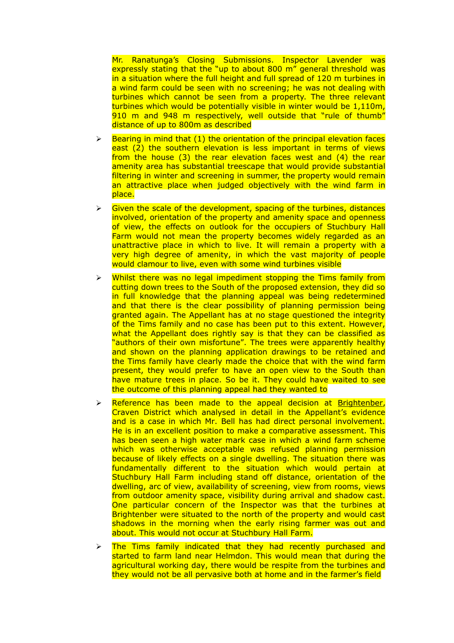Mr. Ranatunga's Closing Submissions. Inspector Lavender was expressly stating that the "up to about 800 m" general threshold was in a situation where the full height and full spread of 120 m turbines in a wind farm could be seen with no screening; he was not dealing with turbines which cannot be seen from a property. The three relevant turbines which would be potentially visible in winter would be 1,110m, 910 m and 948 m respectively, well outside that "rule of thumb" distance of up to 800m as described

- $\triangleright$  Bearing in mind that (1) the orientation of the principal elevation faces east (2) the southern elevation is less important in terms of views from the house (3) the rear elevation faces west and (4) the rear amenity area has substantial treescape that would provide substantial filtering in winter and screening in summer, the property would remain an attractive place when judged objectively with the wind farm in place.
- $\triangleright$  Given the scale of the development, spacing of the turbines, distances involved, orientation of the property and amenity space and openness of view, the effects on outlook for the occupiers of Stuchbury Hall Farm would not mean the property becomes widely regarded as an unattractive place in which to live. It will remain a property with a very high degree of amenity, in which the vast majority of people would clamour to live, even with some wind turbines visible
- $\triangleright$  Whilst there was no legal impediment stopping the Tims family from cutting down trees to the South of the proposed extension, they did so in full knowledge that the planning appeal was being redetermined and that there is the clear possibility of planning permission being granted again. The Appellant has at no stage questioned the integrity of the Tims family and no case has been put to this extent. However, what the Appellant does rightly say is that they can be classified as "authors of their own misfortune". The trees were apparently healthy and shown on the planning application drawings to be retained and the Tims family have clearly made the choice that with the wind farm present, they would prefer to have an open view to the South than have mature trees in place. So be it. They could have waited to see the outcome of this planning appeal had they wanted to
- $\triangleright$  Reference has been made to the appeal decision at Brightenber, Craven District which analysed in detail in the Appellant's evidence and is a case in which Mr. Bell has had direct personal involvement. He is in an excellent position to make a comparative assessment. This has been seen a high water mark case in which a wind farm scheme which was otherwise acceptable was refused planning permission because of likely effects on a single dwelling. The situation there was fundamentally different to the situation which would pertain at Stuchbury Hall Farm including stand off distance, orientation of the dwelling, arc of view, availability of screening, view from rooms, views from outdoor amenity space, visibility during arrival and shadow cast. One particular concern of the Inspector was that the turbines at Brightenber were situated to the north of the property and would cast shadows in the morning when the early rising farmer was out and about. This would not occur at Stuchbury Hall Farm.
- The Tims family indicated that they had recently purchased and started to farm land near Helmdon. This would mean that during the agricultural working day, there would be respite from the turbines and they would not be all pervasive both at home and in the farmer's field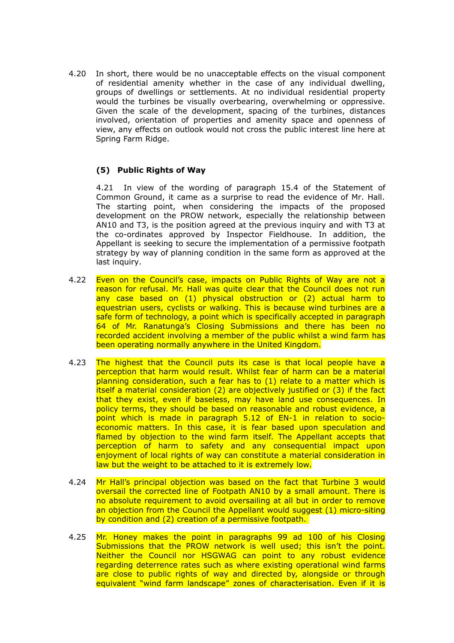4.20 In short, there would be no unacceptable effects on the visual component of residential amenity whether in the case of any individual dwelling, groups of dwellings or settlements. At no individual residential property would the turbines be visually overbearing, overwhelming or oppressive. Given the scale of the development, spacing of the turbines, distances involved, orientation of properties and amenity space and openness of view, any effects on outlook would not cross the public interest line here at Spring Farm Ridge.

# **(5) Public Rights of Way**

4.21 In view of the wording of paragraph 15.4 of the Statement of Common Ground, it came as a surprise to read the evidence of Mr. Hall. The starting point, when considering the impacts of the proposed development on the PROW network, especially the relationship between AN10 and T3, is the position agreed at the previous inquiry and with T3 at the co-ordinates approved by Inspector Fieldhouse. In addition, the Appellant is seeking to secure the implementation of a permissive footpath strategy by way of planning condition in the same form as approved at the last inquiry.

- 4.22 Even on the Council's case, impacts on Public Rights of Way are not a reason for refusal. Mr. Hall was quite clear that the Council does not run any case based on (1) physical obstruction or (2) actual harm to equestrian users, cyclists or walking. This is because wind turbines are a safe form of technology, a point which is specifically accepted in paragraph 64 of Mr. Ranatunga's Closing Submissions and there has been no recorded accident involving a member of the public whilst a wind farm has been operating normally anywhere in the United Kingdom.
- 4.23 The highest that the Council puts its case is that local people have a perception that harm would result. Whilst fear of harm can be a material planning consideration, such a fear has to (1) relate to a matter which is itself a material consideration (2) are objectively justified or (3) if the fact that they exist, even if baseless, may have land use consequences. In policy terms, they should be based on reasonable and robust evidence, a point which is made in paragraph 5.12 of EN-1 in relation to socioeconomic matters. In this case, it is fear based upon speculation and flamed by objection to the wind farm itself. The Appellant accepts that perception of harm to safety and any consequential impact upon enjoyment of local rights of way can constitute a material consideration in law but the weight to be attached to it is extremely low.
- 4.24 Mr Hall's principal objection was based on the fact that Turbine 3 would oversail the corrected line of Footpath AN10 by a small amount. There is no absolute requirement to avoid oversailing at all but in order to remove an objection from the Council the Appellant would suggest (1) micro-siting by condition and (2) creation of a permissive footpath.
- 4.25 Mr. Honey makes the point in paragraphs 99 ad 100 of his Closing Submissions that the PROW network is well used; this isn't the point. Neither the Council nor HSGWAG can point to any robust evidence regarding deterrence rates such as where existing operational wind farms are close to public rights of way and directed by, alongside or through equivalent "wind farm landscape" zones of characterisation. Even if it is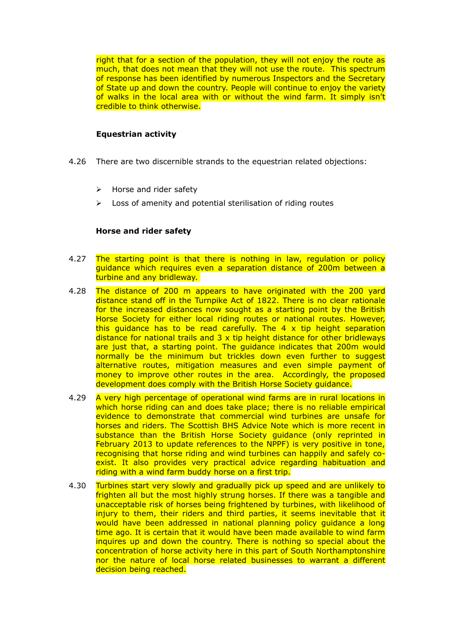right that for a section of the population, they will not enjoy the route as much, that does not mean that they will not use the route. This spectrum of response has been identified by numerous Inspectors and the Secretary of State up and down the country. People will continue to enjoy the variety of walks in the local area with or without the wind farm. It simply isn't credible to think otherwise.

# **Equestrian activity**

- 4.26 There are two discernible strands to the equestrian related objections:
	- $\triangleright$  Horse and rider safety
	- $\triangleright$  Loss of amenity and potential sterilisation of riding routes

# **Horse and rider safety**

- 4.27 The starting point is that there is nothing in law, regulation or policy guidance which requires even a separation distance of 200m between a turbine and any bridleway.
- 4.28 The distance of 200 m appears to have originated with the 200 yard distance stand off in the Turnpike Act of 1822. There is no clear rationale for the increased distances now sought as a starting point by the British Horse Society for either local riding routes or national routes. However, this guidance has to be read carefully. The 4 x tip height separation distance for national trails and  $3 \times$  tip height distance for other bridleways are just that, a starting point. The guidance indicates that 200m would normally be the minimum but trickles down even further to suggest alternative routes, mitigation measures and even simple payment of money to improve other routes in the area. Accordingly, the proposed development does comply with the British Horse Society guidance.
- 4.29 A very high percentage of operational wind farms are in rural locations in which horse riding can and does take place; there is no reliable empirical evidence to demonstrate that commercial wind turbines are unsafe for horses and riders. The Scottish BHS Advice Note which is more recent in substance than the British Horse Society guidance (only reprinted in February 2013 to update references to the NPPF) is very positive in tone, recognising that horse riding and wind turbines can happily and safely coexist. It also provides very practical advice regarding habituation and riding with a wind farm buddy horse on a first trip.
- 4.30 Turbines start very slowly and gradually pick up speed and are unlikely to frighten all but the most highly strung horses. If there was a tangible and unacceptable risk of horses being frightened by turbines, with likelihood of injury to them, their riders and third parties, it seems inevitable that it would have been addressed in national planning policy guidance a long time ago. It is certain that it would have been made available to wind farm inquires up and down the country. There is nothing so special about the concentration of horse activity here in this part of South Northamptonshire nor the nature of local horse related businesses to warrant a different decision being reached.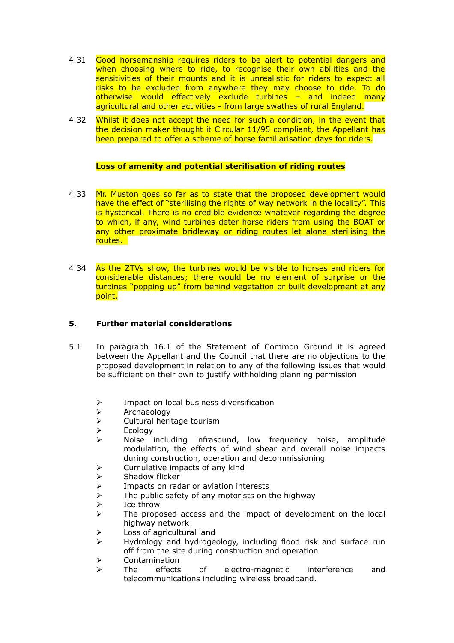- 4.31 Good horsemanship requires riders to be alert to potential dangers and when choosing where to ride, to recognise their own abilities and the sensitivities of their mounts and it is unrealistic for riders to expect all risks to be excluded from anywhere they may choose to ride. To do otherwise would effectively exclude turbines – and indeed many agricultural and other activities - from large swathes of rural England.
- 4.32 Whilst it does not accept the need for such a condition, in the event that the decision maker thought it Circular 11/95 compliant, the Appellant has been prepared to offer a scheme of horse familiarisation days for riders.

# **Loss of amenity and potential sterilisation of riding routes**

- 4.33 Mr. Muston goes so far as to state that the proposed development would have the effect of "sterilising the rights of way network in the locality". This is hysterical. There is no credible evidence whatever regarding the degree to which, if any, wind turbines deter horse riders from using the BOAT or any other proximate bridleway or riding routes let alone sterilising the routes.
- 4.34 As the ZTVs show, the turbines would be visible to horses and riders for considerable distances; there would be no element of surprise or the turbines "popping up" from behind vegetation or built development at any point.

# **5. Further material considerations**

- 5.1 In paragraph 16.1 of the Statement of Common Ground it is agreed between the Appellant and the Council that there are no objections to the proposed development in relation to any of the following issues that would be sufficient on their own to justify withholding planning permission
	- $\triangleright$  Impact on local business diversification
	- $\triangleright$  Archaeology
	- $\triangleright$  Cultural heritage tourism
	- $\triangleright$  Ecology
	- $\triangleright$  Noise including infrasound, low frequency noise, amplitude modulation, the effects of wind shear and overall noise impacts during construction, operation and decommissioning
	- $\triangleright$  Cumulative impacts of any kind
	-
	- Impacts on radar or aviation interests
	- → Shadow flicker<br>→ Impacts on rad<br>→ The public safe  $\geq$  The public safety of any motorists on the highway<br> $\geq$  Ice throw
	- $\geq$  Ice throw<br> $\geq$  The prope
	- The proposed access and the impact of development on the local highway network
	- > Loss of agricultural land
	- $\triangleright$  Hydrology and hydrogeology, including flood risk and surface run off from the site during construction and operation
	- Contamination
	- The effects of electro-magnetic interference and telecommunications including wireless broadband.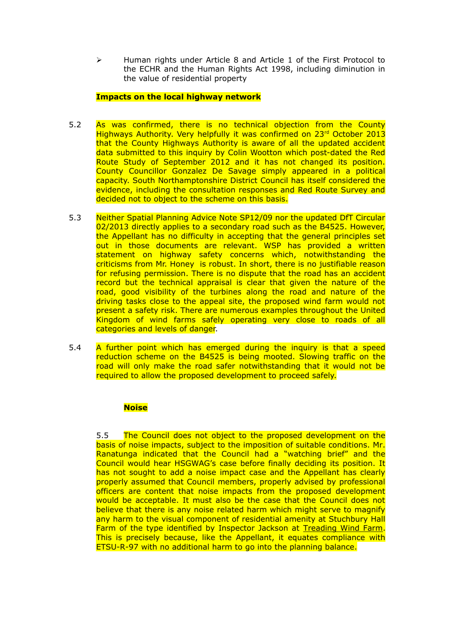$\triangleright$  Human rights under Article 8 and Article 1 of the First Protocol to the ECHR and the Human Rights Act 1998, including diminution in the value of residential property

# **Impacts on the local highway network**

- 5.2 As was confirmed, there is no technical objection from the County Highways Authority. Very helpfully it was confirmed on 23rd October 2013 that the County Highways Authority is aware of all the updated accident data submitted to this inquiry by Colin Wootton which post-dated the Red Route Study of September 2012 and it has not changed its position. County Councillor Gonzalez De Savage simply appeared in a political capacity. South Northamptonshire District Council has itself considered the evidence, including the consultation responses and Red Route Survey and decided not to object to the scheme on this basis.
- 5.3 Neither Spatial Planning Advice Note SP12/09 nor the updated DfT Circular 02/2013 directly applies to a secondary road such as the B4525. However, the Appellant has no difficulty in accepting that the general principles set out in those documents are relevant. WSP has provided a written statement on highway safety concerns which, notwithstanding the criticisms from Mr. Honey is robust. In short, there is no justifiable reason for refusing permission. There is no dispute that the road has an accident record but the technical appraisal is clear that given the nature of the road, good visibility of the turbines along the road and nature of the driving tasks close to the appeal site, the proposed wind farm would not present a safety risk. There are numerous examples throughout the United Kingdom of wind farms safely operating very close to roads of all categories and levels of danger.
- 5.4 A further point which has emerged during the inquiry is that a speed reduction scheme on the B4525 is being mooted. Slowing traffic on the road will only make the road safer notwithstanding that it would not be required to allow the proposed development to proceed safely.

# **Noise**

5.5 The Council does not object to the proposed development on the basis of noise impacts, subject to the imposition of suitable conditions. Mr. Ranatunga indicated that the Council had a "watching brief" and the Council would hear HSGWAG's case before finally deciding its position. It has not sought to add a noise impact case and the Appellant has clearly properly assumed that Council members, properly advised by professional officers are content that noise impacts from the proposed development would be acceptable. It must also be the case that the Council does not believe that there is any noise related harm which might serve to magnify any harm to the visual component of residential amenity at Stuchbury Hall Farm of the type identified by Inspector Jackson at Treading Wind Farm. This is precisely because, like the Appellant, it equates compliance with ETSU-R-97 with no additional harm to go into the planning balance.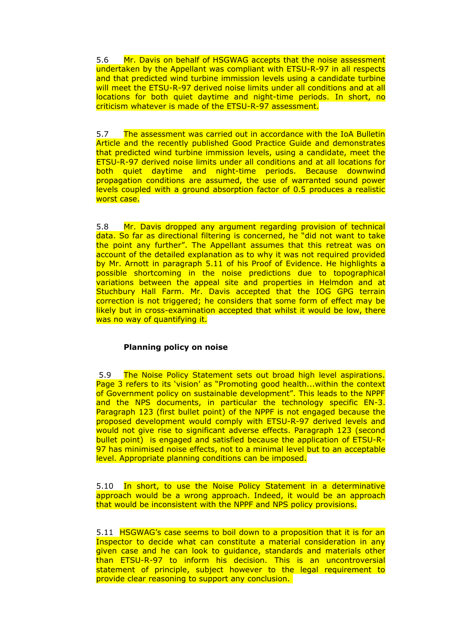5.6 Mr. Davis on behalf of HSGWAG accepts that the noise assessment undertaken by the Appellant was compliant with ETSU-R-97 in all respects and that predicted wind turbine immission levels using a candidate turbine will meet the ETSU-R-97 derived noise limits under all conditions and at all locations for both quiet daytime and night-time periods. In short, no criticism whatever is made of the ETSU-R-97 assessment.

5.7 The assessment was carried out in accordance with the IoA Bulletin Article and the recently published Good Practice Guide and demonstrates that predicted wind turbine immission levels, using a candidate, meet the ETSU-R-97 derived noise limits under all conditions and at all locations for both quiet daytime and night-time periods. Because downwind propagation conditions are assumed, the use of warranted sound power levels coupled with a ground absorption factor of 0.5 produces a realistic worst case.

5.8 Mr. Davis dropped any argument regarding provision of technical data. So far as directional filtering is concerned, he "did not want to take the point any further". The Appellant assumes that this retreat was on account of the detailed explanation as to why it was not required provided by Mr. Arnott in paragraph 5.11 of his Proof of Evidence. He highlights a possible shortcoming in the noise predictions due to topographical variations between the appeal site and properties in Helmdon and at Stuchbury Hall Farm. Mr. Davis accepted that the IOG GPG terrain correction is not triggered; he considers that some form of effect may be likely but in cross-examination accepted that whilst it would be low, there was no way of quantifying it.

### **Planning policy on noise**

5.9 The Noise Policy Statement sets out broad high level aspirations. Page 3 refers to its 'vision' as "Promoting good health...within the context of Government policy on sustainable development". This leads to the NPPF and the NPS documents, in particular the technology specific EN-3. Paragraph 123 (first bullet point) of the NPPF is not engaged because the proposed development would comply with ETSU-R-97 derived levels and would not give rise to significant adverse effects. Paragraph 123 (second bullet point) is engaged and satisfied because the application of ETSU-R-97 has minimised noise effects, not to a minimal level but to an acceptable level. Appropriate planning conditions can be imposed.

5.10 In short, to use the Noise Policy Statement in a determinative approach would be a wrong approach. Indeed, it would be an approach that would be inconsistent with the NPPF and NPS policy provisions.

5.11 HSGWAG's case seems to boil down to a proposition that it is for an Inspector to decide what can constitute a material consideration in any given case and he can look to guidance, standards and materials other than ETSU-R-97 to inform his decision. This is an uncontroversial statement of principle, subject however to the legal requirement to provide clear reasoning to support any conclusion.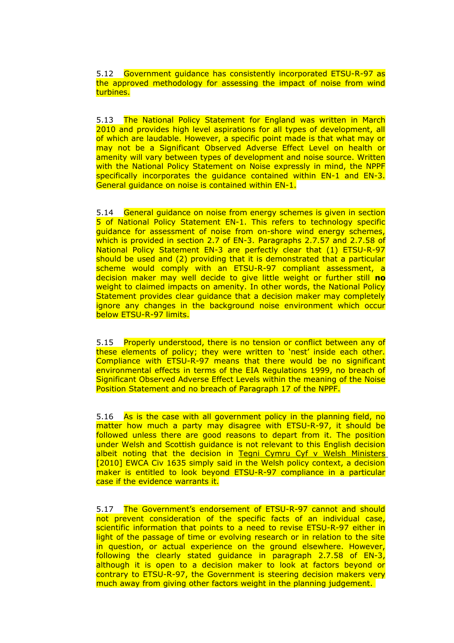5.12 Government guidance has consistently incorporated ETSU-R-97 as the approved methodology for assessing the impact of noise from wind turbines.

5.13 The National Policy Statement for England was written in March 2010 and provides high level aspirations for all types of development, all of which are laudable. However, a specific point made is that what may or may not be a Significant Observed Adverse Effect Level on health or amenity will vary between types of development and noise source. Written with the National Policy Statement on Noise expressly in mind, the NPPF specifically incorporates the guidance contained within EN-1 and EN-3. General guidance on noise is contained within EN-1.

5.14 General guidance on noise from energy schemes is given in section 5 of National Policy Statement EN-1. This refers to technology specific guidance for assessment of noise from on-shore wind energy schemes, which is provided in section 2.7 of EN-3. Paragraphs 2.7.57 and 2.7.58 of National Policy Statement EN-3 are perfectly clear that (1) ETSU-R-97 should be used and (2) providing that it is demonstrated that a particular scheme would comply with an ETSU-R-97 compliant assessment, a decision maker may well decide to give little weight or further still **no** weight to claimed impacts on amenity. In other words, the National Policy Statement provides clear guidance that a decision maker may completely ignore any changes in the background noise environment which occur below ETSU-R-97 limits.

5.15 Properly understood, there is no tension or conflict between any of these elements of policy; they were written to 'nest' inside each other. Compliance with ETSU-R-97 means that there would be no significant environmental effects in terms of the EIA Regulations 1999, no breach of Significant Observed Adverse Effect Levels within the meaning of the Noise Position Statement and no breach of Paragraph 17 of the NPPF.

5.16 As is the case with all government policy in the planning field, no matter how much a party may disagree with ETSU-R-97, it should be followed unless there are good reasons to depart from it. The position under Welsh and Scottish guidance is not relevant to this English decision albeit noting that the decision in Tegni Cymru Cyf v Welsh Ministers [2010] EWCA Civ 1635 simply said in the Welsh policy context, a decision maker is entitled to look beyond ETSU-R-97 compliance in a particular case if the evidence warrants it.

5.17 The Government's endorsement of ETSU-R-97 cannot and should not prevent consideration of the specific facts of an individual case, scientific information that points to a need to revise ETSU-R-97 either in light of the passage of time or evolving research or in relation to the site in question, or actual experience on the ground elsewhere. However, following the clearly stated guidance in paragraph 2.7.58 of EN-3, although it is open to a decision maker to look at factors beyond or contrary to ETSU-R-97, the Government is steering decision makers very much away from giving other factors weight in the planning judgement.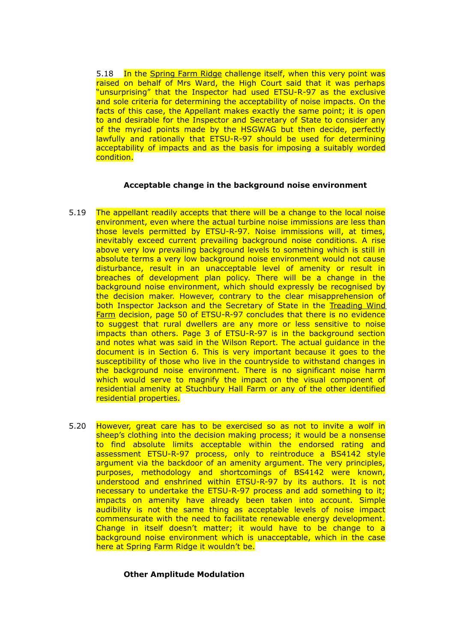5.18 In the Spring Farm Ridge challenge itself, when this very point was raised on behalf of Mrs Ward, the High Court said that it was perhaps "unsurprising" that the Inspector had used ETSU-R-97 as the exclusive and sole criteria for determining the acceptability of noise impacts. On the facts of this case, the Appellant makes exactly the same point; it is open to and desirable for the Inspector and Secretary of State to consider any of the myriad points made by the HSGWAG but then decide, perfectly lawfully and rationally that ETSU-R-97 should be used for determining acceptability of impacts and as the basis for imposing a suitably worded condition.

### **Acceptable change in the background noise environment**

- 5.19 The appellant readily accepts that there will be a change to the local noise environment, even where the actual turbine noise immissions are less than those levels permitted by ETSU-R-97. Noise immissions will, at times, inevitably exceed current prevailing background noise conditions. A rise above very low prevailing background levels to something which is still in absolute terms a very low background noise environment would not cause disturbance, result in an unacceptable level of amenity or result in breaches of development plan policy. There will be a change in the background noise environment, which should expressly be recognised by the decision maker. However, contrary to the clear misapprehension of both Inspector Jackson and the Secretary of State in the Treading Wind Farm decision, page 50 of ETSU-R-97 concludes that there is no evidence to suggest that rural dwellers are any more or less sensitive to noise impacts than others. Page 3 of ETSU-R-97 is in the background section and notes what was said in the Wilson Report. The actual guidance in the document is in Section 6. This is very important because it goes to the susceptibility of those who live in the countryside to withstand changes in the background noise environment. There is no significant noise harm which would serve to magnify the impact on the visual component of residential amenity at Stuchbury Hall Farm or any of the other identified residential properties.
- 5.20 However, great care has to be exercised so as not to invite a wolf in sheep's clothing into the decision making process; it would be a nonsense to find absolute limits acceptable within the endorsed rating and assessment ETSU-R-97 process, only to reintroduce a BS4142 style argument via the backdoor of an amenity argument. The very principles, purposes, methodology and shortcomings of BS4142 were known, understood and enshrined within ETSU-R-97 by its authors. It is not necessary to undertake the ETSU-R-97 process and add something to it; impacts on amenity have already been taken into account. Simple audibility is not the same thing as acceptable levels of noise impact commensurate with the need to facilitate renewable energy development. Change in itself doesn't matter; it would have to be change to a background noise environment which is unacceptable, which in the case here at Spring Farm Ridge it wouldn't be.

### **Other Amplitude Modulation**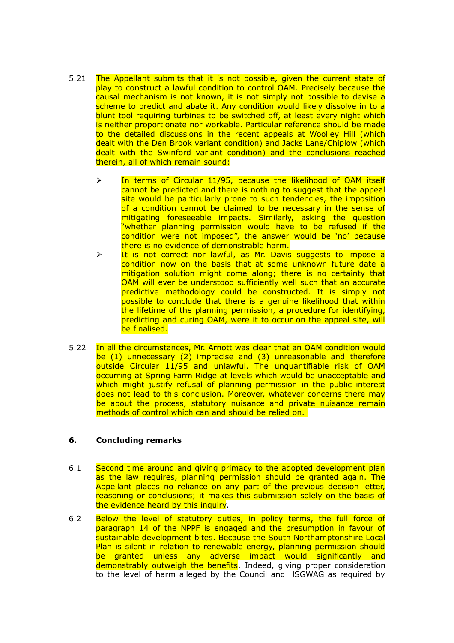- 5.21 The Appellant submits that it is not possible, given the current state of play to construct a lawful condition to control OAM. Precisely because the causal mechanism is not known, it is not simply not possible to devise a scheme to predict and abate it. Any condition would likely dissolve in to a blunt tool requiring turbines to be switched off, at least every night which is neither proportionate nor workable. Particular reference should be made to the detailed discussions in the recent appeals at Woolley Hill (which dealt with the Den Brook variant condition) and Jacks Lane/Chiplow (which dealt with the Swinford variant condition) and the conclusions reached therein, all of which remain sound:
	- $\geq$  In terms of Circular 11/95, because the likelihood of OAM itself cannot be predicted and there is nothing to suggest that the appeal site would be particularly prone to such tendencies, the imposition of a condition cannot be claimed to be necessary in the sense of mitigating foreseeable impacts. Similarly, asking the question "whether planning permission would have to be refused if the condition were not imposed", the answer would be 'no' because there is no evidence of demonstrable harm.
	- $\triangleright$  It is not correct nor lawful, as Mr. Davis suggests to impose a condition now on the basis that at some unknown future date a mitigation solution might come along; there is no certainty that OAM will ever be understood sufficiently well such that an accurate predictive methodology could be constructed. It is simply not possible to conclude that there is a genuine likelihood that within the lifetime of the planning permission, a procedure for identifying, predicting and curing OAM, were it to occur on the appeal site, will be finalised.
- 5.22 In all the circumstances, Mr. Arnott was clear that an OAM condition would be (1) unnecessary (2) imprecise and (3) unreasonable and therefore outside Circular 11/95 and unlawful. The unquantifiable risk of OAM occurring at Spring Farm Ridge at levels which would be unacceptable and which might justify refusal of planning permission in the public interest does not lead to this conclusion. Moreover, whatever concerns there may be about the process, statutory nuisance and private nuisance remain methods of control which can and should be relied on.

### **6. Concluding remarks**

- 6.1 Second time around and giving primacy to the adopted development plan as the law requires, planning permission should be granted again. The Appellant places no reliance on any part of the previous decision letter, reasoning or conclusions; it makes this submission solely on the basis of the evidence heard by this inquiry.
- 6.2 Below the level of statutory duties, in policy terms, the full force of paragraph 14 of the NPPF is engaged and the presumption in favour of sustainable development bites. Because the South Northamptonshire Local Plan is silent in relation to renewable energy, planning permission should be granted unless any adverse impact would significantly and demonstrably outweigh the benefits. Indeed, giving proper consideration to the level of harm alleged by the Council and HSGWAG as required by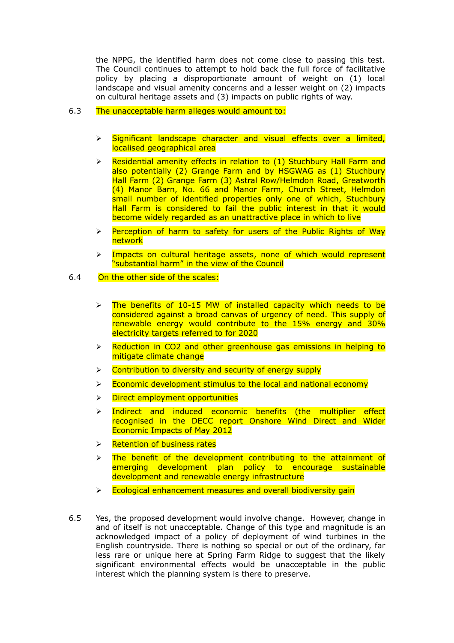the NPPG, the identified harm does not come close to passing this test. The Council continues to attempt to hold back the full force of facilitative policy by placing a disproportionate amount of weight on (1) local landscape and visual amenity concerns and a lesser weight on (2) impacts on cultural heritage assets and (3) impacts on public rights of way.

# 6.3 The unacceptable harm alleges would amount to:

- $\triangleright$  Significant landscape character and visual effects over a limited, localised geographical area
- $\triangleright$  Residential amenity effects in relation to (1) Stuchbury Hall Farm and also potentially (2) Grange Farm and by HSGWAG as (1) Stuchbury Hall Farm (2) Grange Farm (3) Astral Row/Helmdon Road, Greatworth (4) Manor Barn, No. 66 and Manor Farm, Church Street, Helmdon small number of identified properties only one of which, Stuchbury Hall Farm is considered to fail the public interest in that it would become widely regarded as an unattractive place in which to live
- $\triangleright$  Perception of harm to safety for users of the Public Rights of Way network
- $\triangleright$  Impacts on cultural heritage assets, none of which would represent "substantial harm" in the view of the Council
- 6.4 On the other side of the scales:
	- $\ge$  The benefits of 10-15 MW of installed capacity which needs to be considered against a broad canvas of urgency of need. This supply of renewable energy would contribute to the 15% energy and 30% electricity targets referred to for 2020
	- $\triangleright$  Reduction in CO2 and other greenhouse gas emissions in helping to mitigate climate change
	- $\triangleright$  Contribution to diversity and security of energy supply
	- $\triangleright$  Economic development stimulus to the local and national economy
	- $\triangleright$  Direct employment opportunities
	- $\triangleright$  Indirect and induced economic benefits (the multiplier effect recognised in the DECC report Onshore Wind Direct and Wider Economic Impacts of May 2012
	- $\triangleright$  Retention of business rates
	- $\triangleright$  The benefit of the development contributing to the attainment of emerging development plan policy to encourage sustainable development and renewable energy infrastructure
	- $\triangleright$  Ecological enhancement measures and overall biodiversity gain
- 6.5 Yes, the proposed development would involve change. However, change in and of itself is not unacceptable. Change of this type and magnitude is an acknowledged impact of a policy of deployment of wind turbines in the English countryside. There is nothing so special or out of the ordinary, far less rare or unique here at Spring Farm Ridge to suggest that the likely significant environmental effects would be unacceptable in the public interest which the planning system is there to preserve.